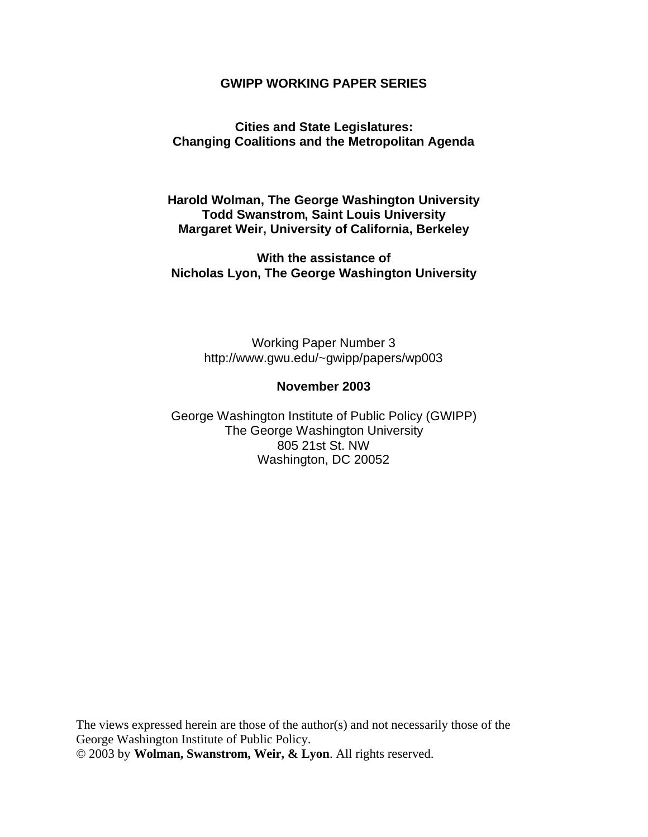#### **GWIPP WORKING PAPER SERIES**

#### **Cities and State Legislatures: Changing Coalitions and the Metropolitan Agenda**

**Harold Wolman, The George Washington University Todd Swanstrom, Saint Louis University Margaret Weir, University of California, Berkeley**

**With the assistance of Nicholas Lyon, The George Washington University**

> Working Paper Number 3 <http://www.gwu.edu/~gwipp/papers/wp003>

#### **November 2003**

George Washington Institute of Public Policy (GWIPP) The George Washington University 805 21st St. NW Washington, DC 20052

The views expressed herein are those of the author(s) and not necessarily those of the George Washington Institute of Public Policy. © 2003 by **Wolman, Swanstrom, Weir, & Lyon**. All rights reserved.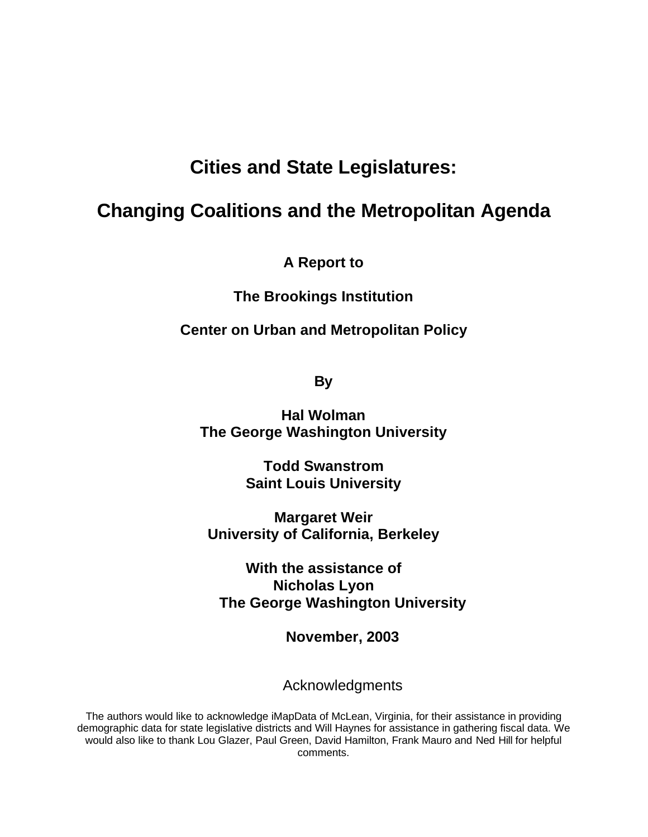## **Cities and State Legislatures:**

## **Changing Coalitions and the Metropolitan Agenda**

**A Report to** 

**The Brookings Institution**

**Center on Urban and Metropolitan Policy**

**By**

**Hal Wolman The George Washington University**

> **Todd Swanstrom Saint Louis University**

**Margaret Weir University of California, Berkeley**

**With the assistance of Nicholas Lyon The George Washington University**

**November, 2003**

Acknowledgments

The authors would like to acknowledge iMapData of McLean, Virginia, for their assistance in providing demographic data for state legislative districts and Will Haynes for assistance in gathering fiscal data. We would also like to thank Lou Glazer, Paul Green, David Hamilton, Frank Mauro and Ned Hill for helpful comments.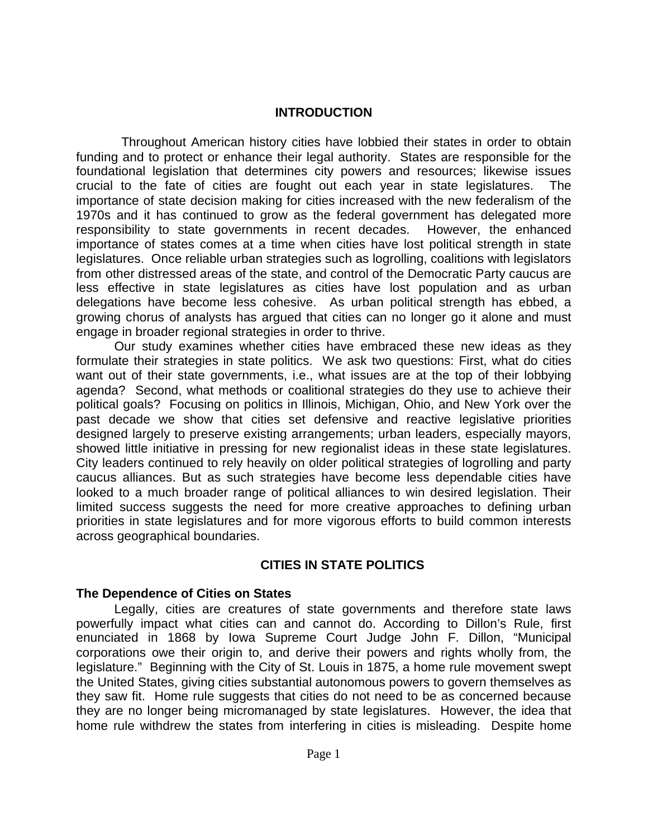#### **INTRODUCTION**

Throughout American history cities have lobbied their states in order to obtain funding and to protect or enhance their legal authority. States are responsible for the foundational legislation that determines city powers and resources; likewise issues crucial to the fate of cities are fought out each year in state legislatures. The importance of state decision making for cities increased with the new federalism of the 1970s and it has continued to grow as the federal government has delegated more responsibility to state governments in recent decades. However, the enhanced importance of states comes at a time when cities have lost political strength in state legislatures. Once reliable urban strategies such as logrolling, coalitions with legislators from other distressed areas of the state, and control of the Democratic Party caucus are less effective in state legislatures as cities have lost population and as urban delegations have become less cohesive. As urban political strength has ebbed, a growing chorus of analysts has argued that cities can no longer go it alone and must engage in broader regional strategies in order to thrive.

Our study examines whether cities have embraced these new ideas as they formulate their strategies in state politics. We ask two questions: First, what do cities want out of their state governments, i.e., what issues are at the top of their lobbying agenda? Second, what methods or coalitional strategies do they use to achieve their political goals? Focusing on politics in Illinois, Michigan, Ohio, and New York over the past decade we show that cities set defensive and reactive legislative priorities designed largely to preserve existing arrangements; urban leaders, especially mayors, showed little initiative in pressing for new regionalist ideas in these state legislatures. City leaders continued to rely heavily on older political strategies of logrolling and party caucus alliances. But as such strategies have become less dependable cities have looked to a much broader range of political alliances to win desired legislation. Their limited success suggests the need for more creative approaches to defining urban priorities in state legislatures and for more vigorous efforts to build common interests across geographical boundaries.

#### **CITIES IN STATE POLITICS**

#### **The Dependence of Cities on States**

Legally, cities are creatures of state governments and therefore state laws powerfully impact what cities can and cannot do. According to Dillon's Rule, first enunciated in 1868 by Iowa Supreme Court Judge John F. Dillon, "Municipal corporations owe their origin to, and derive their powers and rights wholly from, the legislature." Beginning with the City of St. Louis in 1875, a home rule movement swept the United States, giving cities substantial autonomous powers to govern themselves as they saw fit. Home rule suggests that cities do not need to be as concerned because they are no longer being micromanaged by state legislatures. However, the idea that home rule withdrew the states from interfering in cities is misleading. Despite home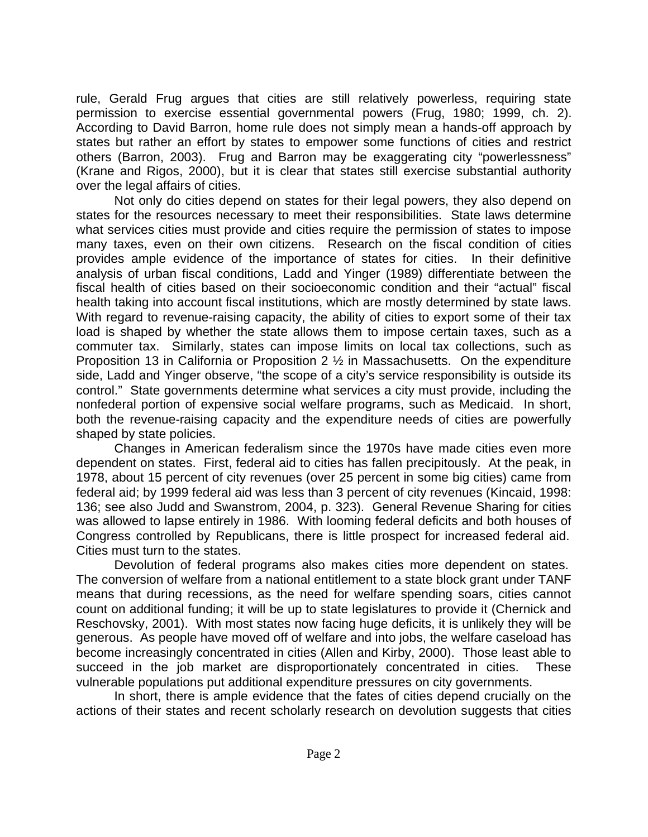rule, Gerald Frug argues that cities are still relatively powerless, requiring state permission to exercise essential governmental powers (Frug, 1980; 1999, ch. 2). According to David Barron, home rule does not simply mean a hands-off approach by states but rather an effort by states to empower some functions of cities and restrict others (Barron, 2003). Frug and Barron may be exaggerating city "powerlessness" (Krane and Rigos, 2000), but it is clear that states still exercise substantial authority over the legal affairs of cities.

Not only do cities depend on states for their legal powers, they also depend on states for the resources necessary to meet their responsibilities. State laws determine what services cities must provide and cities require the permission of states to impose many taxes, even on their own citizens. Research on the fiscal condition of cities provides ample evidence of the importance of states for cities. In their definitive analysis of urban fiscal conditions, Ladd and Yinger (1989) differentiate between the fiscal health of cities based on their socioeconomic condition and their "actual" fiscal health taking into account fiscal institutions, which are mostly determined by state laws. With regard to revenue-raising capacity, the ability of cities to export some of their tax load is shaped by whether the state allows them to impose certain taxes, such as a commuter tax. Similarly, states can impose limits on local tax collections, such as Proposition 13 in California or Proposition 2 ½ in Massachusetts. On the expenditure side, Ladd and Yinger observe, "the scope of a city's service responsibility is outside its control." State governments determine what services a city must provide, including the nonfederal portion of expensive social welfare programs, such as Medicaid. In short, both the revenue-raising capacity and the expenditure needs of cities are powerfully shaped by state policies.

Changes in American federalism since the 1970s have made cities even more dependent on states. First, federal aid to cities has fallen precipitously. At the peak, in 1978, about 15 percent of city revenues (over 25 percent in some big cities) came from federal aid; by 1999 federal aid was less than 3 percent of city revenues (Kincaid, 1998: 136; see also Judd and Swanstrom, 2004, p. 323). General Revenue Sharing for cities was allowed to lapse entirely in 1986. With looming federal deficits and both houses of Congress controlled by Republicans, there is little prospect for increased federal aid. Cities must turn to the states.

Devolution of federal programs also makes cities more dependent on states. The conversion of welfare from a national entitlement to a state block grant under TANF means that during recessions, as the need for welfare spending soars, cities cannot count on additional funding; it will be up to state legislatures to provide it (Chernick and Reschovsky, 2001). With most states now facing huge deficits, it is unlikely they will be generous. As people have moved off of welfare and into jobs, the welfare caseload has become increasingly concentrated in cities (Allen and Kirby, 2000). Those least able to succeed in the job market are disproportionately concentrated in cities. These vulnerable populations put additional expenditure pressures on city governments.

In short, there is ample evidence that the fates of cities depend crucially on the actions of their states and recent scholarly research on devolution suggests that cities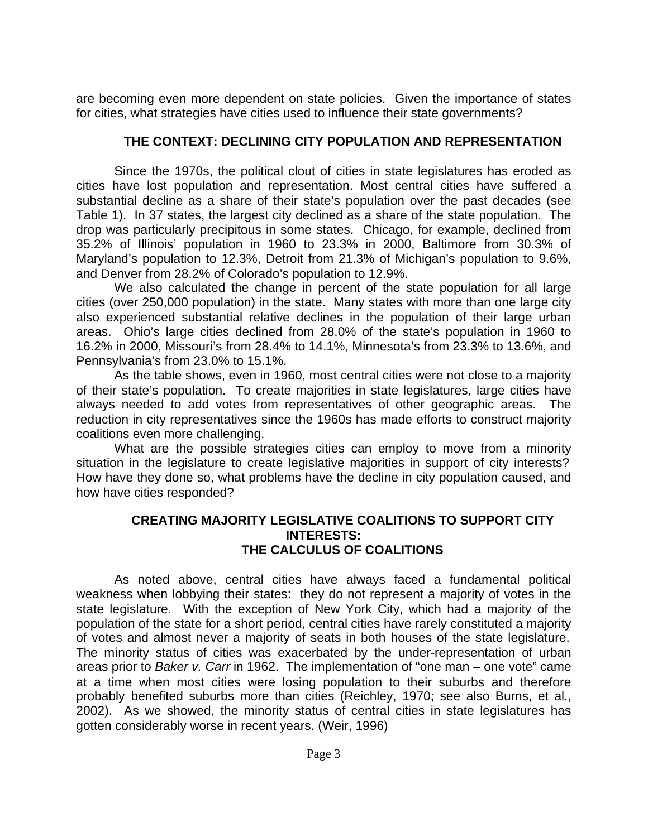are becoming even more dependent on state policies. Given the importance of states for cities, what strategies have cities used to influence their state governments?

## **THE CONTEXT: DECLINING CITY POPULATION AND REPRESENTATION**

Since the 1970s, the political clout of cities in state legislatures has eroded as cities have lost population and representation. Most central cities have suffered a substantial decline as a share of their state's population over the past decades (see Table 1). In 37 states, the largest city declined as a share of the state population. The drop was particularly precipitous in some states. Chicago, for example, declined from 35.2% of Illinois' population in 1960 to 23.3% in 2000, Baltimore from 30.3% of Maryland's population to 12.3%, Detroit from 21.3% of Michigan's population to 9.6%, and Denver from 28.2% of Colorado's population to 12.9%.

We also calculated the change in percent of the state population for all large cities (over 250,000 population) in the state. Many states with more than one large city also experienced substantial relative declines in the population of their large urban areas. Ohio's large cities declined from 28.0% of the state's population in 1960 to 16.2% in 2000, Missouri's from 28.4% to 14.1%, Minnesota's from 23.3% to 13.6%, and Pennsylvania's from 23.0% to 15.1%.

As the table shows, even in 1960, most central cities were not close to a majority of their state's population. To create majorities in state legislatures, large cities have always needed to add votes from representatives of other geographic areas. The reduction in city representatives since the 1960s has made efforts to construct majority coalitions even more challenging.

What are the possible strategies cities can employ to move from a minority situation in the legislature to create legislative majorities in support of city interests? How have they done so, what problems have the decline in city population caused, and how have cities responded?

### **CREATING MAJORITY LEGISLATIVE COALITIONS TO SUPPORT CITY INTERESTS: THE CALCULUS OF COALITIONS**

As noted above, central cities have always faced a fundamental political weakness when lobbying their states: they do not represent a majority of votes in the state legislature. With the exception of New York City, which had a majority of the population of the state for a short period, central cities have rarely constituted a majority of votes and almost never a majority of seats in both houses of the state legislature. The minority status of cities was exacerbated by the under-representation of urban areas prior to *Baker v. Carr* in 1962. The implementation of "one man – one vote" came at a time when most cities were losing population to their suburbs and therefore probably benefited suburbs more than cities (Reichley, 1970; see also Burns, et al., 2002). As we showed, the minority status of central cities in state legislatures has gotten considerably worse in recent years. (Weir, 1996)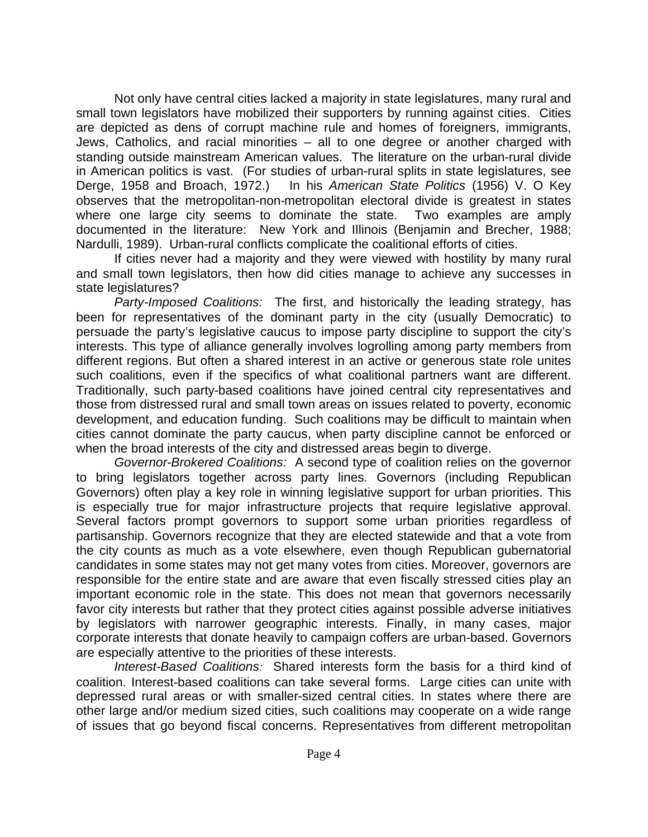Not only have central cities lacked a majority in state legislatures, many rural and small town legislators have mobilized their supporters by running against cities. Cities are depicted as dens of corrupt machine rule and homes of foreigners, immigrants, Jews, Catholics, and racial minorities – all to one degree or another charged with standing outside mainstream American values. The literature on the urban-rural divide in American politics is vast. (For studies of urban-rural splits in state legislatures, see Derge, 1958 and Broach, 1972.) In his *American State Politics* (1956) V. O Key observes that the metropolitan-non-metropolitan electoral divide is greatest in states where one large city seems to dominate the state. Two examples are amply documented in the literature: New York and Illinois (Benjamin and Brecher, 1988; Nardulli, 1989). Urban-rural conflicts complicate the coalitional efforts of cities.

If cities never had a majority and they were viewed with hostility by many rural and small town legislators, then how did cities manage to achieve any successes in state legislatures?

*Party-Imposed Coalitions:* The first, and historically the leading strategy, has been for representatives of the dominant party in the city (usually Democratic) to persuade the party's legislative caucus to impose party discipline to support the city's interests. This type of alliance generally involves logrolling among party members from different regions. But often a shared interest in an active or generous state role unites such coalitions, even if the specifics of what coalitional partners want are different. Traditionally, such party-based coalitions have joined central city representatives and those from distressed rural and small town areas on issues related to poverty, economic development, and education funding. Such coalitions may be difficult to maintain when cities cannot dominate the party caucus, when party discipline cannot be enforced or when the broad interests of the city and distressed areas begin to diverge.

*Governor-Brokered Coalitions:* A second type of coalition relies on the governor to bring legislators together across party lines. Governors (including Republican Governors) often play a key role in winning legislative support for urban priorities. This is especially true for major infrastructure projects that require legislative approval. Several factors prompt governors to support some urban priorities regardless of partisanship. Governors recognize that they are elected statewide and that a vote from the city counts as much as a vote elsewhere, even though Republican gubernatorial candidates in some states may not get many votes from cities. Moreover, governors are responsible for the entire state and are aware that even fiscally stressed cities play an important economic role in the state. This does not mean that governors necessarily favor city interests but rather that they protect cities against possible adverse initiatives by legislators with narrower geographic interests. Finally, in many cases, major corporate interests that donate heavily to campaign coffers are urban-based. Governors are especially attentive to the priorities of these interests.

*Interest-Based Coalitions:* Shared interests form the basis for a third kind of coalition. Interest-based coalitions can take several forms. Large cities can unite with depressed rural areas or with smaller-sized central cities. In states where there are other large and/or medium sized cities, such coalitions may cooperate on a wide range of issues that go beyond fiscal concerns. Representatives from different metropolitan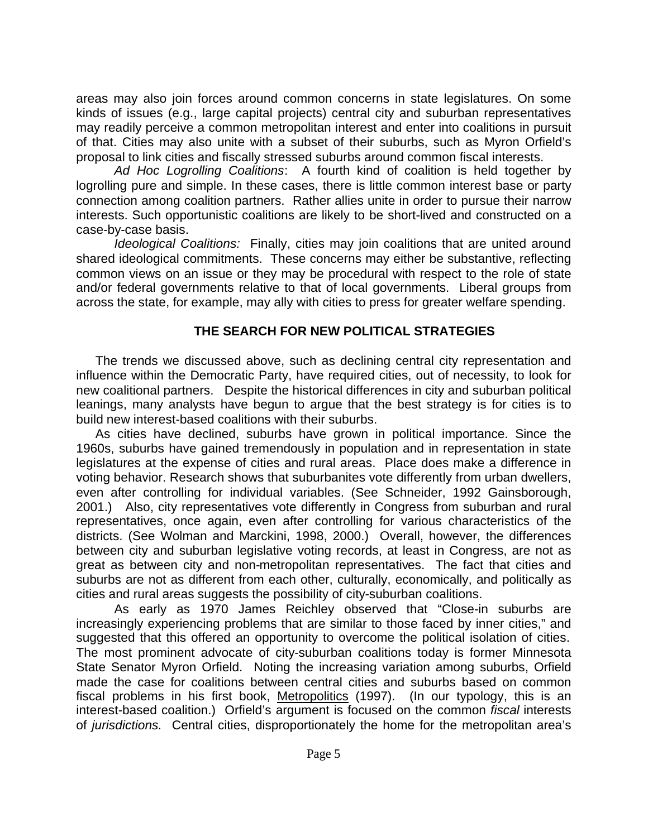areas may also join forces around common concerns in state legislatures. On some kinds of issues (e.g., large capital projects) central city and suburban representatives may readily perceive a common metropolitan interest and enter into coalitions in pursuit of that. Cities may also unite with a subset of their suburbs, such as Myron Orfield's proposal to link cities and fiscally stressed suburbs around common fiscal interests.

*Ad Hoc Logrolling Coalitions*: A fourth kind of coalition is held together by logrolling pure and simple. In these cases, there is little common interest base or party connection among coalition partners. Rather allies unite in order to pursue their narrow interests. Such opportunistic coalitions are likely to be short-lived and constructed on a case-by-case basis.

*Ideological Coalitions:* Finally, cities may join coalitions that are united around shared ideological commitments. These concerns may either be substantive, reflecting common views on an issue or they may be procedural with respect to the role of state and/or federal governments relative to that of local governments. Liberal groups from across the state, for example, may ally with cities to press for greater welfare spending.

## **THE SEARCH FOR NEW POLITICAL STRATEGIES**

The trends we discussed above, such as declining central city representation and influence within the Democratic Party, have required cities, out of necessity, to look for new coalitional partners.Despite the historical differences in city and suburban political leanings, many analysts have begun to argue that the best strategy is for cities is to build new interest-based coalitions with their suburbs.

As cities have declined, suburbs have grown in political importance. Since the 1960s, suburbs have gained tremendously in population and in representation in state legislatures at the expense of cities and rural areas. Place does make a difference in voting behavior. Research shows that suburbanites vote differently from urban dwellers, even after controlling for individual variables. (See Schneider, 1992 Gainsborough, 2001.) Also, city representatives vote differently in Congress from suburban and rural representatives, once again, even after controlling for various characteristics of the districts. (See Wolman and Marckini, 1998, 2000.) Overall, however, the differences between city and suburban legislative voting records, at least in Congress, are not as great as between city and non-metropolitan representatives. The fact that cities and suburbs are not as different from each other, culturally, economically, and politically as cities and rural areas suggests the possibility of city-suburban coalitions.

As early as 1970 James Reichley observed that "Close-in suburbs are increasingly experiencing problems that are similar to those faced by inner cities," and suggested that this offered an opportunity to overcome the political isolation of cities. The most prominent advocate of city-suburban coalitions today is former Minnesota State Senator Myron Orfield. Noting the increasing variation among suburbs, Orfield made the case for coalitions between central cities and suburbs based on common fiscal problems in his first book, Metropolitics (1997). (In our typology, this is an interest-based coalition.) Orfield's argument is focused on the common *fiscal* interests of *jurisdictions.* Central cities, disproportionately the home for the metropolitan area's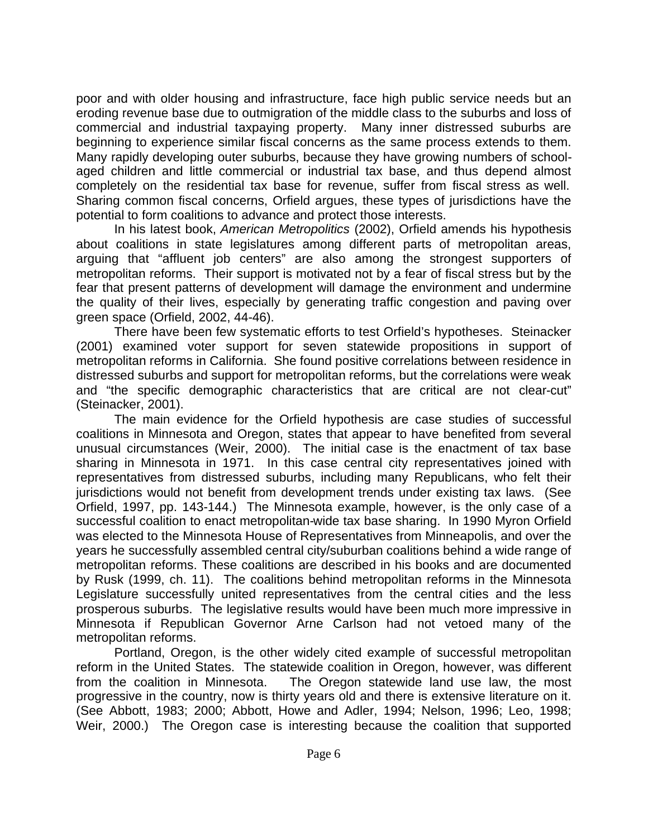poor and with older housing and infrastructure, face high public service needs but an eroding revenue base due to outmigration of the middle class to the suburbs and loss of commercial and industrial taxpaying property. Many inner distressed suburbs are beginning to experience similar fiscal concerns as the same process extends to them. Many rapidly developing outer suburbs, because they have growing numbers of schoolaged children and little commercial or industrial tax base, and thus depend almost completely on the residential tax base for revenue, suffer from fiscal stress as well. Sharing common fiscal concerns, Orfield argues, these types of jurisdictions have the potential to form coalitions to advance and protect those interests.

In his latest book, *American Metropolitics* (2002), Orfield amends his hypothesis about coalitions in state legislatures among different parts of metropolitan areas, arguing that "affluent job centers" are also among the strongest supporters of metropolitan reforms. Their support is motivated not by a fear of fiscal stress but by the fear that present patterns of development will damage the environment and undermine the quality of their lives, especially by generating traffic congestion and paving over green space (Orfield, 2002, 44-46).

There have been few systematic efforts to test Orfield's hypotheses. Steinacker (2001) examined voter support for seven statewide propositions in support of metropolitan reforms in California. She found positive correlations between residence in distressed suburbs and support for metropolitan reforms, but the correlations were weak and "the specific demographic characteristics that are critical are not clear-cut" (Steinacker, 2001).

The main evidence for the Orfield hypothesis are case studies of successful coalitions in Minnesota and Oregon, states that appear to have benefited from several unusual circumstances (Weir, 2000). The initial case is the enactment of tax base sharing in Minnesota in 1971. In this case central city representatives joined with representatives from distressed suburbs, including many Republicans, who felt their jurisdictions would not benefit from development trends under existing tax laws. (See Orfield, 1997, pp. 143-144.) The Minnesota example, however, is the only case of a successful coalition to enact metropolitan-wide tax base sharing. In 1990 Myron Orfield was elected to the Minnesota House of Representatives from Minneapolis, and over the years he successfully assembled central city/suburban coalitions behind a wide range of metropolitan reforms. These coalitions are described in his books and are documented by Rusk (1999, ch. 11). The coalitions behind metropolitan reforms in the Minnesota Legislature successfully united representatives from the central cities and the less prosperous suburbs. The legislative results would have been much more impressive in Minnesota if Republican Governor Arne Carlson had not vetoed many of the metropolitan reforms.

Portland, Oregon, is the other widely cited example of successful metropolitan reform in the United States. The statewide coalition in Oregon, however, was different from the coalition in Minnesota. The Oregon statewide land use law, the most progressive in the country, now is thirty years old and there is extensive literature on it. (See Abbott, 1983; 2000; Abbott, Howe and Adler, 1994; Nelson, 1996; Leo, 1998; Weir, 2000.) The Oregon case is interesting because the coalition that supported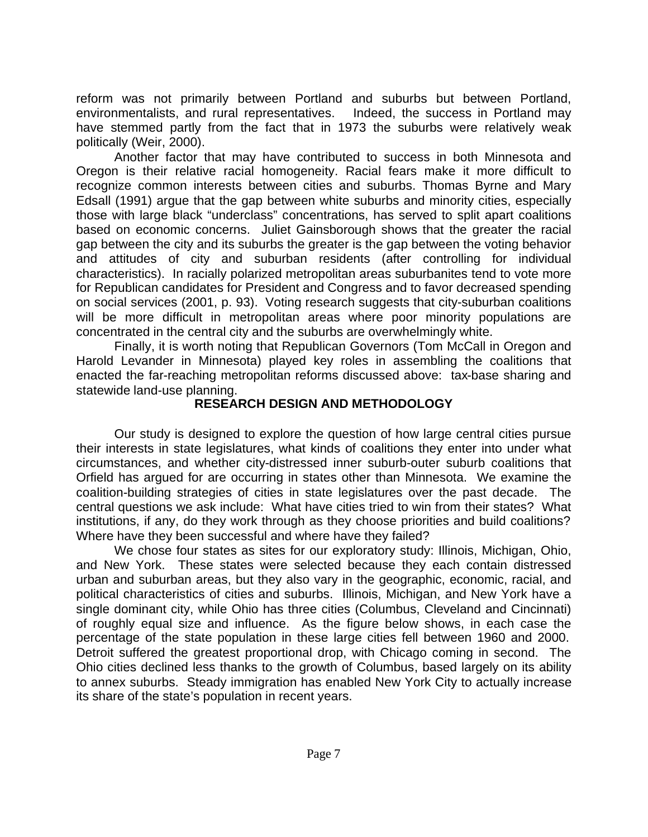reform was not primarily between Portland and suburbs but between Portland, environmentalists, and rural representatives. Indeed, the success in Portland may have stemmed partly from the fact that in 1973 the suburbs were relatively weak politically (Weir, 2000).

Another factor that may have contributed to success in both Minnesota and Oregon is their relative racial homogeneity. Racial fears make it more difficult to recognize common interests between cities and suburbs. Thomas Byrne and Mary Edsall (1991) argue that the gap between white suburbs and minority cities, especially those with large black "underclass" concentrations, has served to split apart coalitions based on economic concerns. Juliet Gainsborough shows that the greater the racial gap between the city and its suburbs the greater is the gap between the voting behavior and attitudes of city and suburban residents (after controlling for individual characteristics). In racially polarized metropolitan areas suburbanites tend to vote more for Republican candidates for President and Congress and to favor decreased spending on social services (2001, p. 93). Voting research suggests that city-suburban coalitions will be more difficult in metropolitan areas where poor minority populations are concentrated in the central city and the suburbs are overwhelmingly white.

Finally, it is worth noting that Republican Governors (Tom McCall in Oregon and Harold Levander in Minnesota) played key roles in assembling the coalitions that enacted the far-reaching metropolitan reforms discussed above: tax-base sharing and statewide land-use planning.

## **RESEARCH DESIGN AND METHODOLOGY**

Our study is designed to explore the question of how large central cities pursue their interests in state legislatures, what kinds of coalitions they enter into under what circumstances, and whether city-distressed inner suburb-outer suburb coalitions that Orfield has argued for are occurring in states other than Minnesota. We examine the coalition-building strategies of cities in state legislatures over the past decade. The central questions we ask include: What have cities tried to win from their states? What institutions, if any, do they work through as they choose priorities and build coalitions? Where have they been successful and where have they failed?

We chose four states as sites for our exploratory study: Illinois, Michigan, Ohio, and New York. These states were selected because they each contain distressed urban and suburban areas, but they also vary in the geographic, economic, racial, and political characteristics of cities and suburbs. Illinois, Michigan, and New York have a single dominant city, while Ohio has three cities (Columbus, Cleveland and Cincinnati) of roughly equal size and influence. As the figure below shows, in each case the percentage of the state population in these large cities fell between 1960 and 2000. Detroit suffered the greatest proportional drop, with Chicago coming in second. The Ohio cities declined less thanks to the growth of Columbus, based largely on its ability to annex suburbs. Steady immigration has enabled New York City to actually increase its share of the state's population in recent years.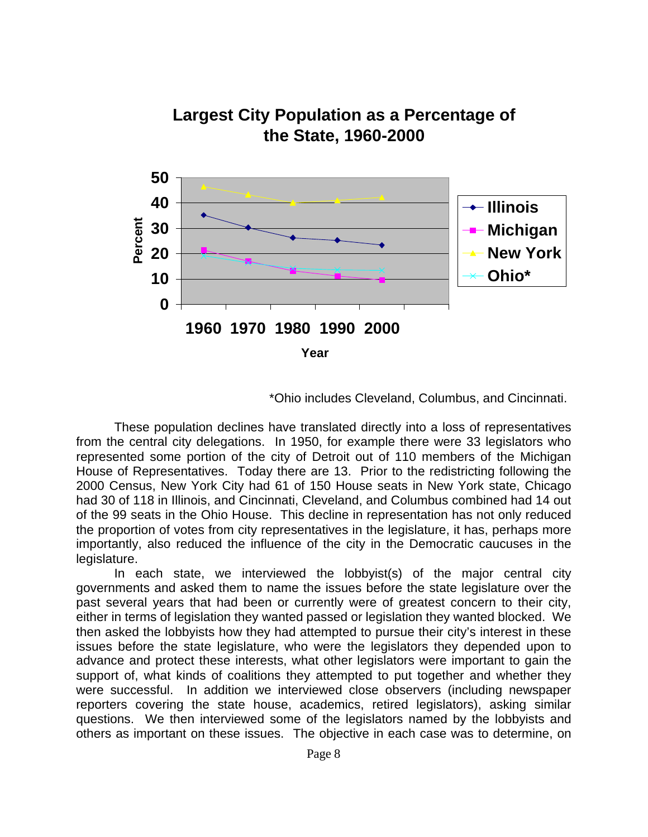

\*Ohio includes Cleveland, Columbus, and Cincinnati.

These population declines have translated directly into a loss of representatives from the central city delegations. In 1950, for example there were 33 legislators who represented some portion of the city of Detroit out of 110 members of the Michigan House of Representatives. Today there are 13. Prior to the redistricting following the 2000 Census, New York City had 61 of 150 House seats in New York state, Chicago had 30 of 118 in Illinois, and Cincinnati, Cleveland, and Columbus combined had 14 out of the 99 seats in the Ohio House. This decline in representation has not only reduced the proportion of votes from city representatives in the legislature, it has, perhaps more importantly, also reduced the influence of the city in the Democratic caucuses in the legislature.

In each state, we interviewed the lobbyist(s) of the major central city governments and asked them to name the issues before the state legislature over the past several years that had been or currently were of greatest concern to their city, either in terms of legislation they wanted passed or legislation they wanted blocked. We then asked the lobbyists how they had attempted to pursue their city's interest in these issues before the state legislature, who were the legislators they depended upon to advance and protect these interests, what other legislators were important to gain the support of, what kinds of coalitions they attempted to put together and whether they were successful. In addition we interviewed close observers (including newspaper reporters covering the state house, academics, retired legislators), asking similar questions. We then interviewed some of the legislators named by the lobbyists and others as important on these issues. The objective in each case was to determine, on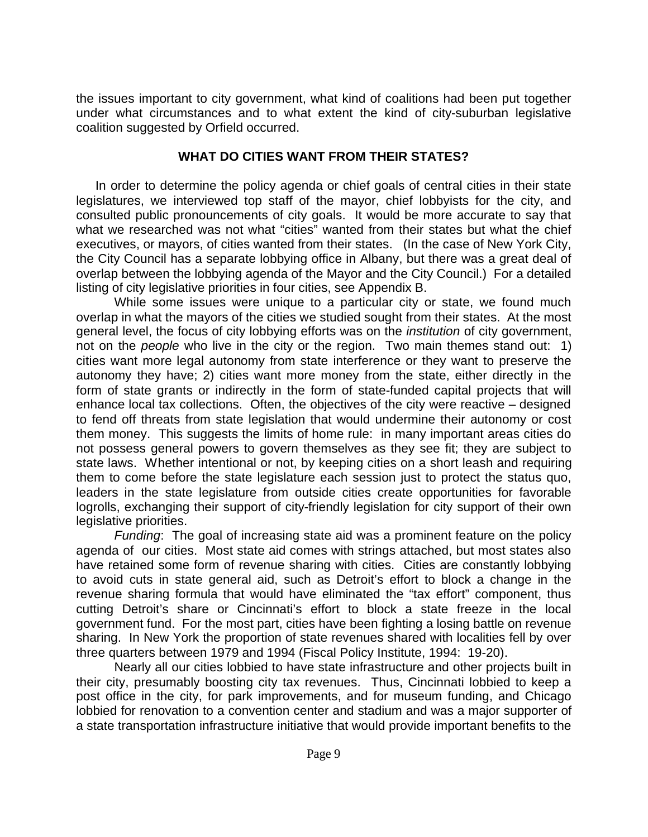the issues important to city government, what kind of coalitions had been put together under what circumstances and to what extent the kind of city-suburban legislative coalition suggested by Orfield occurred.

### **WHAT DO CITIES WANT FROM THEIR STATES?**

In order to determine the policy agenda or chief goals of central cities in their state legislatures, we interviewed top staff of the mayor, chief lobbyists for the city, and consulted public pronouncements of city goals. It would be more accurate to say that what we researched was not what "cities" wanted from their states but what the chief executives, or mayors, of cities wanted from their states. (In the case of New York City, the City Council has a separate lobbying office in Albany, but there was a great deal of overlap between the lobbying agenda of the Mayor and the City Council.) For a detailed listing of city legislative priorities in four cities, see Appendix B.

While some issues were unique to a particular city or state, we found much overlap in what the mayors of the cities we studied sought from their states. At the most general level, the focus of city lobbying efforts was on the *institution* of city government, not on the *people* who live in the city or the region. Two main themes stand out: 1) cities want more legal autonomy from state interference or they want to preserve the autonomy they have; 2) cities want more money from the state, either directly in the form of state grants or indirectly in the form of state-funded capital projects that will enhance local tax collections. Often, the objectives of the city were reactive – designed to fend off threats from state legislation that would undermine their autonomy or cost them money. This suggests the limits of home rule: in many important areas cities do not possess general powers to govern themselves as they see fit; they are subject to state laws. Whether intentional or not, by keeping cities on a short leash and requiring them to come before the state legislature each session just to protect the status quo, leaders in the state legislature from outside cities create opportunities for favorable logrolls, exchanging their support of city-friendly legislation for city support of their own legislative priorities.

*Funding*: The goal of increasing state aid was a prominent feature on the policy agenda of our cities. Most state aid comes with strings attached, but most states also have retained some form of revenue sharing with cities. Cities are constantly lobbying to avoid cuts in state general aid, such as Detroit's effort to block a change in the revenue sharing formula that would have eliminated the "tax effort" component, thus cutting Detroit's share or Cincinnati's effort to block a state freeze in the local government fund. For the most part, cities have been fighting a losing battle on revenue sharing. In New York the proportion of state revenues shared with localities fell by over three quarters between 1979 and 1994 (Fiscal Policy Institute, 1994: 19-20).

Nearly all our cities lobbied to have state infrastructure and other projects built in their city, presumably boosting city tax revenues. Thus, Cincinnati lobbied to keep a post office in the city, for park improvements, and for museum funding, and Chicago lobbied for renovation to a convention center and stadium and was a major supporter of a state transportation infrastructure initiative that would provide important benefits to the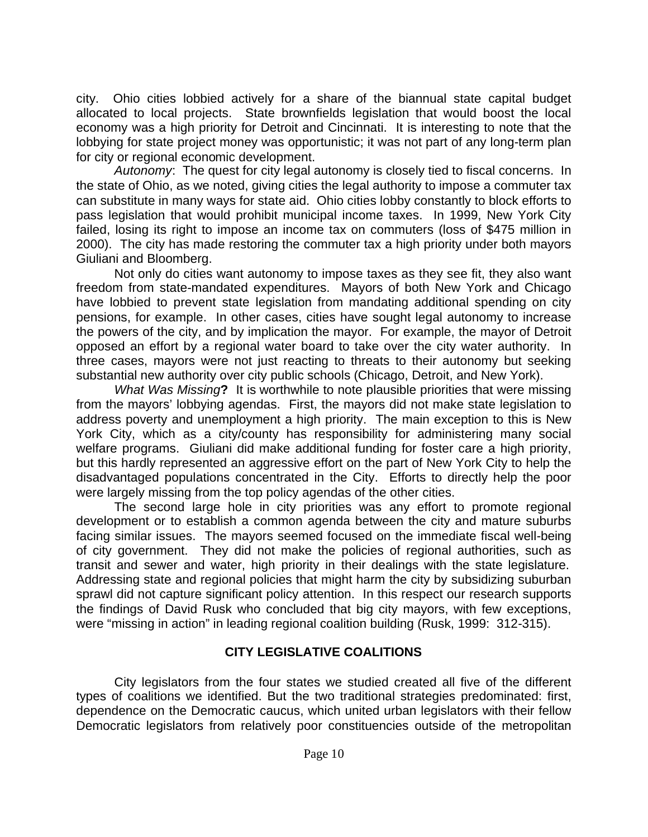city. Ohio cities lobbied actively for a share of the biannual state capital budget allocated to local projects. State brownfields legislation that would boost the local economy was a high priority for Detroit and Cincinnati. It is interesting to note that the lobbying for state project money was opportunistic; it was not part of any long-term plan for city or regional economic development.

*Autonomy*: The quest for city legal autonomy is closely tied to fiscal concerns. In the state of Ohio, as we noted, giving cities the legal authority to impose a commuter tax can substitute in many ways for state aid. Ohio cities lobby constantly to block efforts to pass legislation that would prohibit municipal income taxes. In 1999, New York City failed, losing its right to impose an income tax on commuters (loss of \$475 million in 2000). The city has made restoring the commuter tax a high priority under both mayors Giuliani and Bloomberg.

Not only do cities want autonomy to impose taxes as they see fit, they also want freedom from state-mandated expenditures. Mayors of both New York and Chicago have lobbied to prevent state legislation from mandating additional spending on city pensions, for example. In other cases, cities have sought legal autonomy to increase the powers of the city, and by implication the mayor. For example, the mayor of Detroit opposed an effort by a regional water board to take over the city water authority. In three cases, mayors were not just reacting to threats to their autonomy but seeking substantial new authority over city public schools (Chicago, Detroit, and New York).

*What Was Missing***?** It is worthwhile to note plausible priorities that were missing from the mayors' lobbying agendas. First, the mayors did not make state legislation to address poverty and unemployment a high priority. The main exception to this is New York City, which as a city/county has responsibility for administering many social welfare programs. Giuliani did make additional funding for foster care a high priority, but this hardly represented an aggressive effort on the part of New York City to help the disadvantaged populations concentrated in the City. Efforts to directly help the poor were largely missing from the top policy agendas of the other cities.

The second large hole in city priorities was any effort to promote regional development or to establish a common agenda between the city and mature suburbs facing similar issues. The mayors seemed focused on the immediate fiscal well-being of city government. They did not make the policies of regional authorities, such as transit and sewer and water, high priority in their dealings with the state legislature. Addressing state and regional policies that might harm the city by subsidizing suburban sprawl did not capture significant policy attention. In this respect our research supports the findings of David Rusk who concluded that big city mayors, with few exceptions, were "missing in action" in leading regional coalition building (Rusk, 1999: 312-315).

## **CITY LEGISLATIVE COALITIONS**

City legislators from the four states we studied created all five of the different types of coalitions we identified. But the two traditional strategies predominated: first, dependence on the Democratic caucus, which united urban legislators with their fellow Democratic legislators from relatively poor constituencies outside of the metropolitan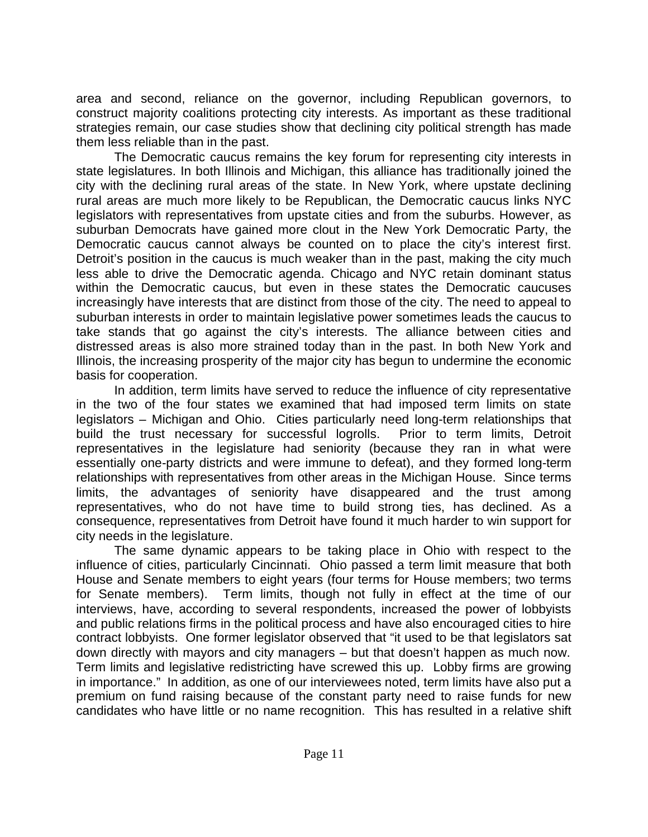area and second, reliance on the governor, including Republican governors, to construct majority coalitions protecting city interests. As important as these traditional strategies remain, our case studies show that declining city political strength has made them less reliable than in the past.

The Democratic caucus remains the key forum for representing city interests in state legislatures. In both Illinois and Michigan, this alliance has traditionally joined the city with the declining rural areas of the state. In New York, where upstate declining rural areas are much more likely to be Republican, the Democratic caucus links NYC legislators with representatives from upstate cities and from the suburbs. However, as suburban Democrats have gained more clout in the New York Democratic Party, the Democratic caucus cannot always be counted on to place the city's interest first. Detroit's position in the caucus is much weaker than in the past, making the city much less able to drive the Democratic agenda. Chicago and NYC retain dominant status within the Democratic caucus, but even in these states the Democratic caucuses increasingly have interests that are distinct from those of the city. The need to appeal to suburban interests in order to maintain legislative power sometimes leads the caucus to take stands that go against the city's interests. The alliance between cities and distressed areas is also more strained today than in the past. In both New York and Illinois, the increasing prosperity of the major city has begun to undermine the economic basis for cooperation.

In addition, term limits have served to reduce the influence of city representative in the two of the four states we examined that had imposed term limits on state legislators – Michigan and Ohio. Cities particularly need long-term relationships that build the trust necessary for successful logrolls. Prior to term limits, Detroit representatives in the legislature had seniority (because they ran in what were essentially one-party districts and were immune to defeat), and they formed long-term relationships with representatives from other areas in the Michigan House. Since terms limits, the advantages of seniority have disappeared and the trust among representatives, who do not have time to build strong ties, has declined. As a consequence, representatives from Detroit have found it much harder to win support for city needs in the legislature.

The same dynamic appears to be taking place in Ohio with respect to the influence of cities, particularly Cincinnati. Ohio passed a term limit measure that both House and Senate members to eight years (four terms for House members; two terms for Senate members). Term limits, though not fully in effect at the time of our interviews, have, according to several respondents, increased the power of lobbyists and public relations firms in the political process and have also encouraged cities to hire contract lobbyists. One former legislator observed that "it used to be that legislators sat down directly with mayors and city managers – but that doesn't happen as much now. Term limits and legislative redistricting have screwed this up. Lobby firms are growing in importance." In addition, as one of our interviewees noted, term limits have also put a premium on fund raising because of the constant party need to raise funds for new candidates who have little or no name recognition. This has resulted in a relative shift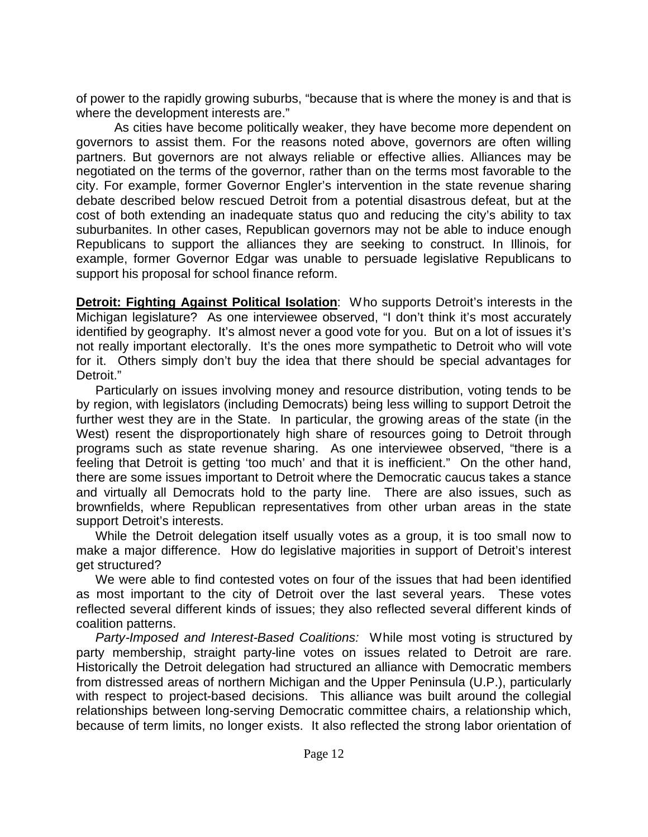of power to the rapidly growing suburbs, "because that is where the money is and that is where the development interests are."

As cities have become politically weaker, they have become more dependent on governors to assist them. For the reasons noted above, governors are often willing partners. But governors are not always reliable or effective allies. Alliances may be negotiated on the terms of the governor, rather than on the terms most favorable to the city. For example, former Governor Engler's intervention in the state revenue sharing debate described below rescued Detroit from a potential disastrous defeat, but at the cost of both extending an inadequate status quo and reducing the city's ability to tax suburbanites. In other cases, Republican governors may not be able to induce enough Republicans to support the alliances they are seeking to construct. In Illinois, for example, former Governor Edgar was unable to persuade legislative Republicans to support his proposal for school finance reform.

**Detroit: Fighting Against Political Isolation**: Who supports Detroit's interests in the Michigan legislature? As one interviewee observed, "I don't think it's most accurately identified by geography. It's almost never a good vote for you. But on a lot of issues it's not really important electorally. It's the ones more sympathetic to Detroit who will vote for it. Others simply don't buy the idea that there should be special advantages for Detroit."

Particularly on issues involving money and resource distribution, voting tends to be by region, with legislators (including Democrats) being less willing to support Detroit the further west they are in the State. In particular, the growing areas of the state (in the West) resent the disproportionately high share of resources going to Detroit through programs such as state revenue sharing. As one interviewee observed, "there is a feeling that Detroit is getting 'too much' and that it is inefficient." On the other hand, there are some issues important to Detroit where the Democratic caucus takes a stance and virtually all Democrats hold to the party line. There are also issues, such as brownfields, where Republican representatives from other urban areas in the state support Detroit's interests.

While the Detroit delegation itself usually votes as a group, it is too small now to make a major difference. How do legislative majorities in support of Detroit's interest get structured?

We were able to find contested votes on four of the issues that had been identified as most important to the city of Detroit over the last several years. These votes reflected several different kinds of issues; they also reflected several different kinds of coalition patterns.

*Party-Imposed and Interest-Based Coalitions:* While most voting is structured by party membership, straight party-line votes on issues related to Detroit are rare. Historically the Detroit delegation had structured an alliance with Democratic members from distressed areas of northern Michigan and the Upper Peninsula (U.P.), particularly with respect to project-based decisions. This alliance was built around the collegial relationships between long-serving Democratic committee chairs, a relationship which, because of term limits, no longer exists. It also reflected the strong labor orientation of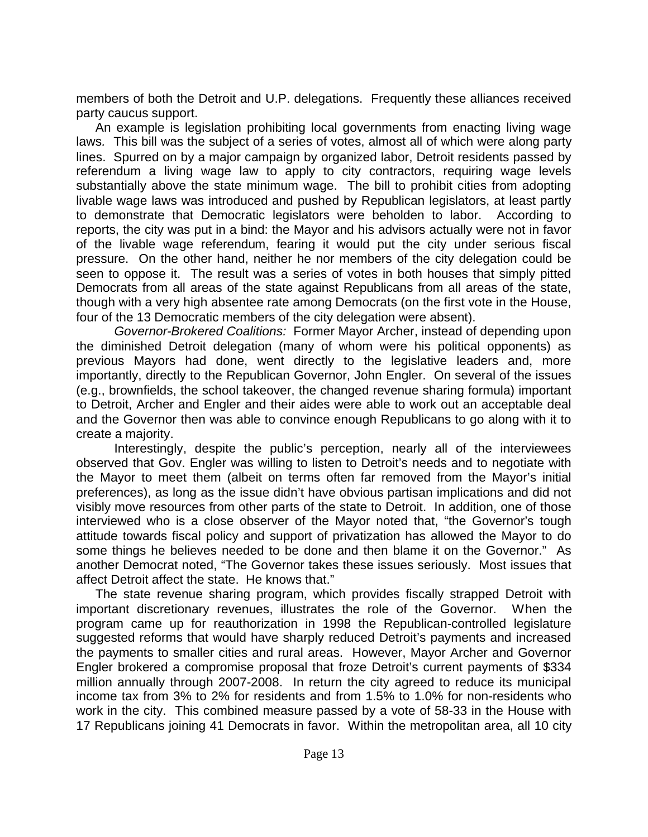members of both the Detroit and U.P. delegations. Frequently these alliances received party caucus support.

An example is legislation prohibiting local governments from enacting living wage laws*.* This bill was the subject of a series of votes, almost all of which were along party lines. Spurred on by a major campaign by organized labor, Detroit residents passed by referendum a living wage law to apply to city contractors, requiring wage levels substantially above the state minimum wage. The bill to prohibit cities from adopting livable wage laws was introduced and pushed by Republican legislators, at least partly to demonstrate that Democratic legislators were beholden to labor. According to reports, the city was put in a bind: the Mayor and his advisors actually were not in favor of the livable wage referendum, fearing it would put the city under serious fiscal pressure. On the other hand, neither he nor members of the city delegation could be seen to oppose it. The result was a series of votes in both houses that simply pitted Democrats from all areas of the state against Republicans from all areas of the state, though with a very high absentee rate among Democrats (on the first vote in the House, four of the 13 Democratic members of the city delegation were absent).

*Governor-Brokered Coalitions:* Former Mayor Archer, instead of depending upon the diminished Detroit delegation (many of whom were his political opponents) as previous Mayors had done, went directly to the legislative leaders and, more importantly, directly to the Republican Governor, John Engler. On several of the issues (e.g., brownfields, the school takeover, the changed revenue sharing formula) important to Detroit, Archer and Engler and their aides were able to work out an acceptable deal and the Governor then was able to convince enough Republicans to go along with it to create a majority.

Interestingly, despite the public's perception, nearly all of the interviewees observed that Gov. Engler was willing to listen to Detroit's needs and to negotiate with the Mayor to meet them (albeit on terms often far removed from the Mayor's initial preferences), as long as the issue didn't have obvious partisan implications and did not visibly move resources from other parts of the state to Detroit. In addition, one of those interviewed who is a close observer of the Mayor noted that, "the Governor's tough attitude towards fiscal policy and support of privatization has allowed the Mayor to do some things he believes needed to be done and then blame it on the Governor." As another Democrat noted, "The Governor takes these issues seriously. Most issues that affect Detroit affect the state. He knows that."

The state revenue sharing program, which provides fiscally strapped Detroit with important discretionary revenues, illustrates the role of the Governor. When the program came up for reauthorization in 1998 the Republican-controlled legislature suggested reforms that would have sharply reduced Detroit's payments and increased the payments to smaller cities and rural areas. However, Mayor Archer and Governor Engler brokered a compromise proposal that froze Detroit's current payments of \$334 million annually through 2007-2008. In return the city agreed to reduce its municipal income tax from 3% to 2% for residents and from 1.5% to 1.0% for non-residents who work in the city. This combined measure passed by a vote of 58-33 in the House with 17 Republicans joining 41 Democrats in favor. Within the metropolitan area, all 10 city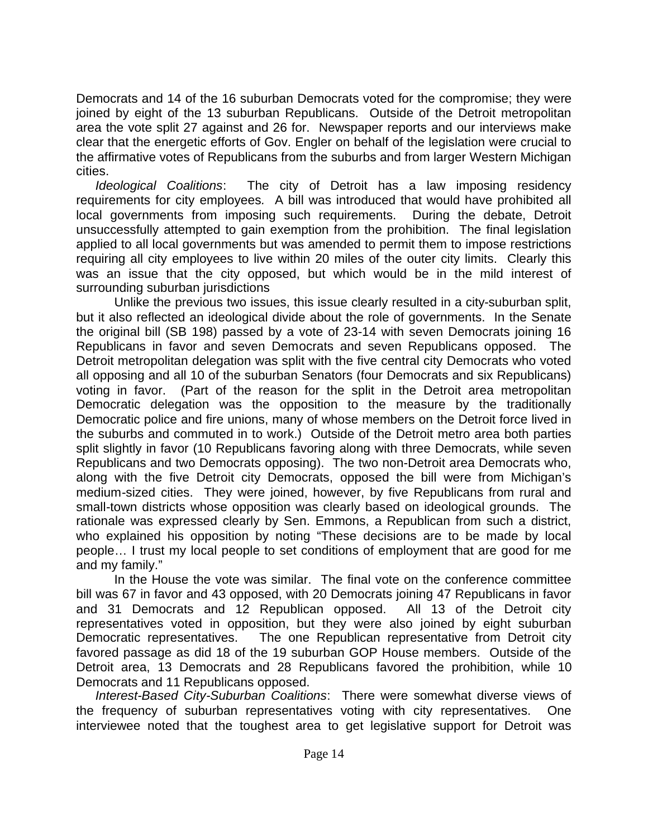Democrats and 14 of the 16 suburban Democrats voted for the compromise; they were joined by eight of the 13 suburban Republicans. Outside of the Detroit metropolitan area the vote split 27 against and 26 for. Newspaper reports and our interviews make clear that the energetic efforts of Gov. Engler on behalf of the legislation were crucial to the affirmative votes of Republicans from the suburbs and from larger Western Michigan cities.

*Ideological Coalitions*: The city of Detroit has a law imposing residency requirements for city employees*.* A bill was introduced that would have prohibited all local governments from imposing such requirements. During the debate, Detroit unsuccessfully attempted to gain exemption from the prohibition. The final legislation applied to all local governments but was amended to permit them to impose restrictions requiring all city employees to live within 20 miles of the outer city limits. Clearly this was an issue that the city opposed, but which would be in the mild interest of surrounding suburban jurisdictions

Unlike the previous two issues, this issue clearly resulted in a city-suburban split, but it also reflected an ideological divide about the role of governments. In the Senate the original bill (SB 198) passed by a vote of 23-14 with seven Democrats joining 16 Republicans in favor and seven Democrats and seven Republicans opposed. The Detroit metropolitan delegation was split with the five central city Democrats who voted all opposing and all 10 of the suburban Senators (four Democrats and six Republicans) voting in favor. (Part of the reason for the split in the Detroit area metropolitan Democratic delegation was the opposition to the measure by the traditionally Democratic police and fire unions, many of whose members on the Detroit force lived in the suburbs and commuted in to work.) Outside of the Detroit metro area both parties split slightly in favor (10 Republicans favoring along with three Democrats, while seven Republicans and two Democrats opposing). The two non-Detroit area Democrats who, along with the five Detroit city Democrats, opposed the bill were from Michigan's medium-sized cities. They were joined, however, by five Republicans from rural and small-town districts whose opposition was clearly based on ideological grounds. The rationale was expressed clearly by Sen. Emmons, a Republican from such a district, who explained his opposition by noting "These decisions are to be made by local people… I trust my local people to set conditions of employment that are good for me and my family."

In the House the vote was similar. The final vote on the conference committee bill was 67 in favor and 43 opposed, with 20 Democrats joining 47 Republicans in favor and 31 Democrats and 12 Republican opposed. All 13 of the Detroit city representatives voted in opposition, but they were also joined by eight suburban Democratic representatives. The one Republican representative from Detroit city favored passage as did 18 of the 19 suburban GOP House members. Outside of the Detroit area, 13 Democrats and 28 Republicans favored the prohibition, while 10 Democrats and 11 Republicans opposed.

*Interest-Based City-Suburban Coalitions*: There were somewhat diverse views of the frequency of suburban representatives voting with city representatives. One interviewee noted that the toughest area to get legislative support for Detroit was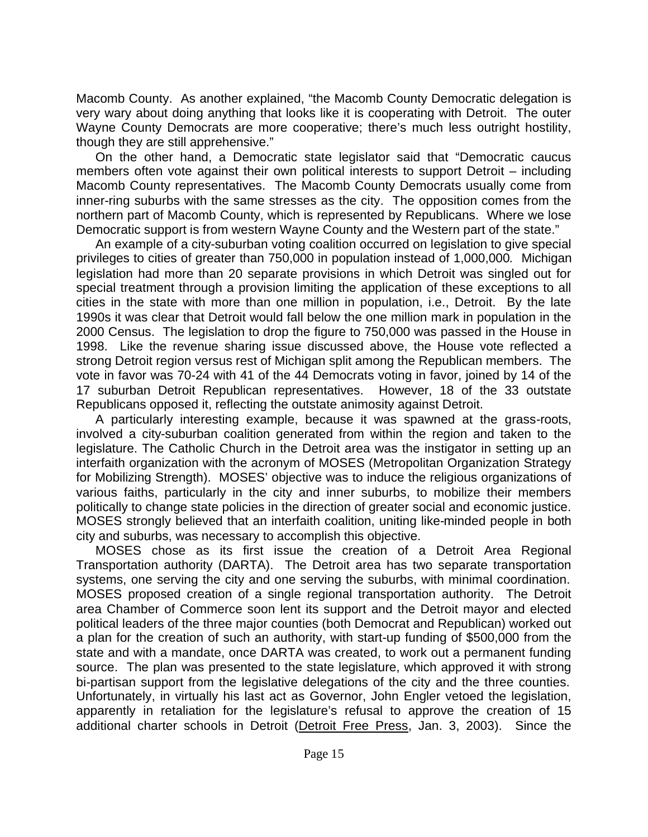Macomb County. As another explained, "the Macomb County Democratic delegation is very wary about doing anything that looks like it is cooperating with Detroit. The outer Wayne County Democrats are more cooperative; there's much less outright hostility, though they are still apprehensive."

On the other hand, a Democratic state legislator said that "Democratic caucus members often vote against their own political interests to support Detroit – including Macomb County representatives. The Macomb County Democrats usually come from inner-ring suburbs with the same stresses as the city. The opposition comes from the northern part of Macomb County, which is represented by Republicans. Where we lose Democratic support is from western Wayne County and the Western part of the state."

An example of a city-suburban voting coalition occurred on legislation to give special privileges to cities of greater than 750,000 in population instead of 1,000,000*.* Michigan legislation had more than 20 separate provisions in which Detroit was singled out for special treatment through a provision limiting the application of these exceptions to all cities in the state with more than one million in population, i.e., Detroit. By the late 1990s it was clear that Detroit would fall below the one million mark in population in the 2000 Census. The legislation to drop the figure to 750,000 was passed in the House in 1998. Like the revenue sharing issue discussed above, the House vote reflected a strong Detroit region versus rest of Michigan split among the Republican members. The vote in favor was 70-24 with 41 of the 44 Democrats voting in favor, joined by 14 of the 17 suburban Detroit Republican representatives. However, 18 of the 33 outstate Republicans opposed it, reflecting the outstate animosity against Detroit.

A particularly interesting example, because it was spawned at the grass-roots, involved a city-suburban coalition generated from within the region and taken to the legislature. The Catholic Church in the Detroit area was the instigator in setting up an interfaith organization with the acronym of MOSES (Metropolitan Organization Strategy for Mobilizing Strength). MOSES' objective was to induce the religious organizations of various faiths, particularly in the city and inner suburbs, to mobilize their members politically to change state policies in the direction of greater social and economic justice. MOSES strongly believed that an interfaith coalition, uniting like-minded people in both city and suburbs, was necessary to accomplish this objective.

MOSES chose as its first issue the creation of a Detroit Area Regional Transportation authority (DARTA). The Detroit area has two separate transportation systems, one serving the city and one serving the suburbs, with minimal coordination. MOSES proposed creation of a single regional transportation authority. The Detroit area Chamber of Commerce soon lent its support and the Detroit mayor and elected political leaders of the three major counties (both Democrat and Republican) worked out a plan for the creation of such an authority, with start-up funding of \$500,000 from the state and with a mandate, once DARTA was created, to work out a permanent funding source. The plan was presented to the state legislature, which approved it with strong bi-partisan support from the legislative delegations of the city and the three counties. Unfortunately, in virtually his last act as Governor, John Engler vetoed the legislation, apparently in retaliation for the legislature's refusal to approve the creation of 15 additional charter schools in Detroit (Detroit Free Press, Jan. 3, 2003). Since the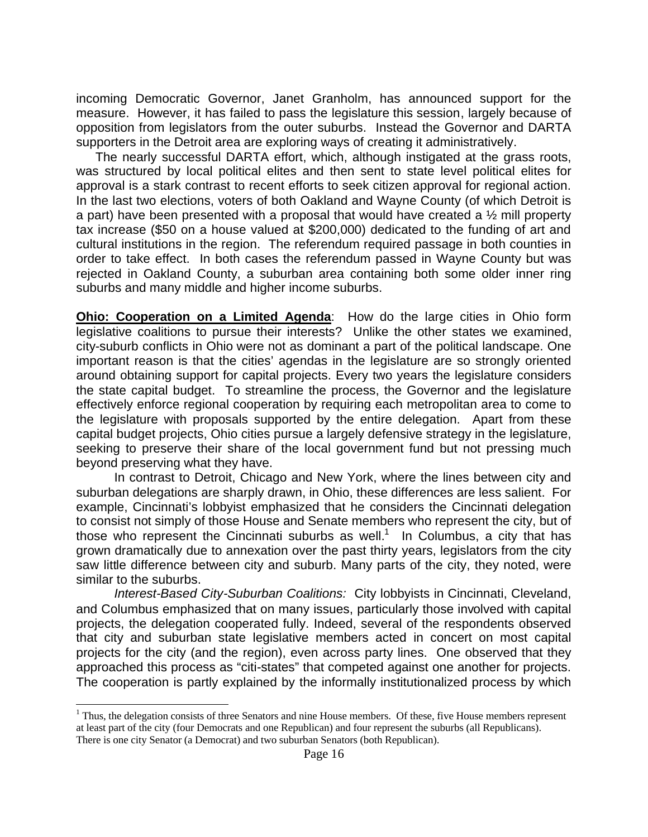incoming Democratic Governor, Janet Granholm, has announced support for the measure. However, it has failed to pass the legislature this session, largely because of opposition from legislators from the outer suburbs. Instead the Governor and DARTA supporters in the Detroit area are exploring ways of creating it administratively.

The nearly successful DARTA effort, which, although instigated at the grass roots, was structured by local political elites and then sent to state level political elites for approval is a stark contrast to recent efforts to seek citizen approval for regional action. In the last two elections, voters of both Oakland and Wayne County (of which Detroit is a part) have been presented with a proposal that would have created a  $\frac{1}{2}$  mill property tax increase (\$50 on a house valued at \$200,000) dedicated to the funding of art and cultural institutions in the region. The referendum required passage in both counties in order to take effect. In both cases the referendum passed in Wayne County but was rejected in Oakland County, a suburban area containing both some older inner ring suburbs and many middle and higher income suburbs.

**Ohio: Cooperation on a Limited Agenda**: How do the large cities in Ohio form legislative coalitions to pursue their interests? Unlike the other states we examined, city-suburb conflicts in Ohio were not as dominant a part of the political landscape. One important reason is that the cities' agendas in the legislature are so strongly oriented around obtaining support for capital projects. Every two years the legislature considers the state capital budget. To streamline the process, the Governor and the legislature effectively enforce regional cooperation by requiring each metropolitan area to come to the legislature with proposals supported by the entire delegation. Apart from these capital budget projects, Ohio cities pursue a largely defensive strategy in the legislature, seeking to preserve their share of the local government fund but not pressing much beyond preserving what they have.

In contrast to Detroit, Chicago and New York, where the lines between city and suburban delegations are sharply drawn, in Ohio, these differences are less salient. For example, Cincinnati's lobbyist emphasized that he considers the Cincinnati delegation to consist not simply of those House and Senate members who represent the city, but of those who represent the Cincinnati suburbs as well.<sup>1</sup> In Columbus, a city that has grown dramatically due to annexation over the past thirty years, legislators from the city saw little difference between city and suburb. Many parts of the city, they noted, were similar to the suburbs.

*Interest-Based City-Suburban Coalitions:* City lobbyists in Cincinnati, Cleveland, and Columbus emphasized that on many issues, particularly those involved with capital projects, the delegation cooperated fully. Indeed, several of the respondents observed that city and suburban state legislative members acted in concert on most capital projects for the city (and the region), even across party lines. One observed that they approached this process as "citi-states" that competed against one another for projects. The cooperation is partly explained by the informally institutionalized process by which

 $\overline{a}$ 

 $<sup>1</sup>$  Thus, the delegation consists of three Senators and nine House members. Of these, five House members represent</sup> at least part of the city (four Democrats and one Republican) and four represent the suburbs (all Republicans). There is one city Senator (a Democrat) and two suburban Senators (both Republican).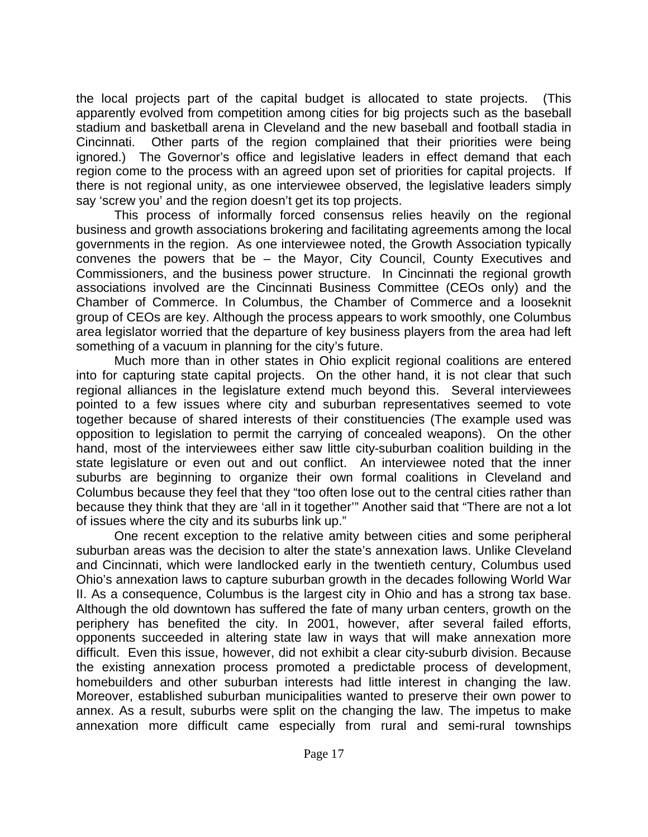the local projects part of the capital budget is allocated to state projects. (This apparently evolved from competition among cities for big projects such as the baseball stadium and basketball arena in Cleveland and the new baseball and football stadia in Cincinnati. Other parts of the region complained that their priorities were being ignored.) The Governor's office and legislative leaders in effect demand that each region come to the process with an agreed upon set of priorities for capital projects. If there is not regional unity, as one interviewee observed, the legislative leaders simply say 'screw you' and the region doesn't get its top projects.

This process of informally forced consensus relies heavily on the regional business and growth associations brokering and facilitating agreements among the local governments in the region. As one interviewee noted, the Growth Association typically convenes the powers that be – the Mayor, City Council, County Executives and Commissioners, and the business power structure. In Cincinnati the regional growth associations involved are the Cincinnati Business Committee (CEOs only) and the Chamber of Commerce. In Columbus, the Chamber of Commerce and a looseknit group of CEOs are key. Although the process appears to work smoothly, one Columbus area legislator worried that the departure of key business players from the area had left something of a vacuum in planning for the city's future.

Much more than in other states in Ohio explicit regional coalitions are entered into for capturing state capital projects. On the other hand, it is not clear that such regional alliances in the legislature extend much beyond this. Several interviewees pointed to a few issues where city and suburban representatives seemed to vote together because of shared interests of their constituencies (The example used was opposition to legislation to permit the carrying of concealed weapons). On the other hand, most of the interviewees either saw little city-suburban coalition building in the state legislature or even out and out conflict. An interviewee noted that the inner suburbs are beginning to organize their own formal coalitions in Cleveland and Columbus because they feel that they "too often lose out to the central cities rather than because they think that they are 'all in it together'" Another said that "There are not a lot of issues where the city and its suburbs link up."

One recent exception to the relative amity between cities and some peripheral suburban areas was the decision to alter the state's annexation laws. Unlike Cleveland and Cincinnati, which were landlocked early in the twentieth century, Columbus used Ohio's annexation laws to capture suburban growth in the decades following World War II. As a consequence, Columbus is the largest city in Ohio and has a strong tax base. Although the old downtown has suffered the fate of many urban centers, growth on the periphery has benefited the city. In 2001, however, after several failed efforts, opponents succeeded in altering state law in ways that will make annexation more difficult. Even this issue, however, did not exhibit a clear city-suburb division. Because the existing annexation process promoted a predictable process of development, homebuilders and other suburban interests had little interest in changing the law. Moreover, established suburban municipalities wanted to preserve their own power to annex. As a result, suburbs were split on the changing the law. The impetus to make annexation more difficult came especially from rural and semi-rural townships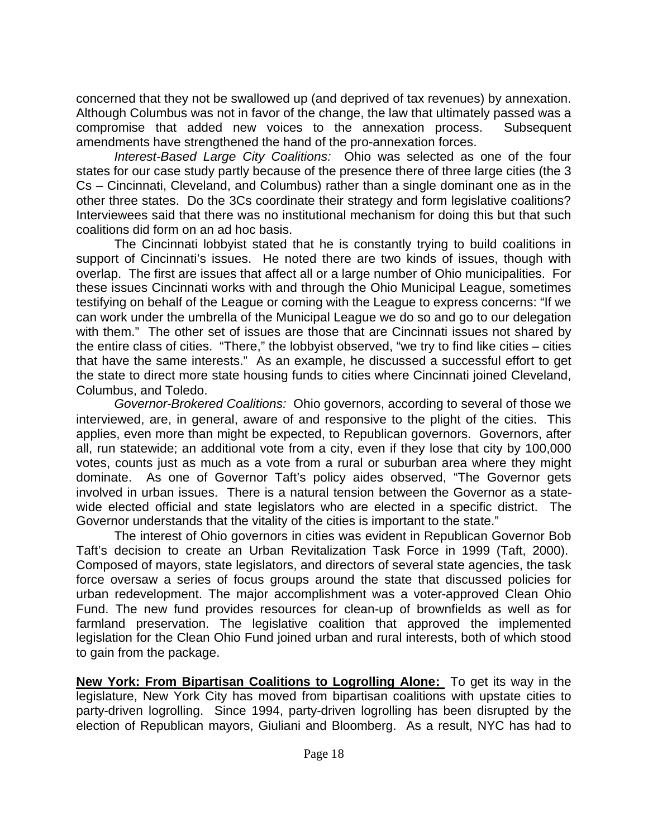concerned that they not be swallowed up (and deprived of tax revenues) by annexation. Although Columbus was not in favor of the change, the law that ultimately passed was a compromise that added new voices to the annexation process. Subsequent amendments have strengthened the hand of the pro-annexation forces.

*Interest-Based Large City Coalitions:* Ohio was selected as one of the four states for our case study partly because of the presence there of three large cities (the 3 Cs – Cincinnati, Cleveland, and Columbus) rather than a single dominant one as in the other three states. Do the 3Cs coordinate their strategy and form legislative coalitions? Interviewees said that there was no institutional mechanism for doing this but that such coalitions did form on an ad hoc basis.

The Cincinnati lobbyist stated that he is constantly trying to build coalitions in support of Cincinnati's issues. He noted there are two kinds of issues, though with overlap. The first are issues that affect all or a large number of Ohio municipalities. For these issues Cincinnati works with and through the Ohio Municipal League, sometimes testifying on behalf of the League or coming with the League to express concerns: "If we can work under the umbrella of the Municipal League we do so and go to our delegation with them." The other set of issues are those that are Cincinnati issues not shared by the entire class of cities. "There," the lobbyist observed, "we try to find like cities – cities that have the same interests." As an example, he discussed a successful effort to get the state to direct more state housing funds to cities where Cincinnati joined Cleveland, Columbus, and Toledo.

*Governor-Brokered Coalitions:* Ohio governors, according to several of those we interviewed, are, in general, aware of and responsive to the plight of the cities. This applies, even more than might be expected, to Republican governors. Governors, after all, run statewide; an additional vote from a city, even if they lose that city by 100,000 votes, counts just as much as a vote from a rural or suburban area where they might dominate. As one of Governor Taft's policy aides observed, "The Governor gets involved in urban issues. There is a natural tension between the Governor as a statewide elected official and state legislators who are elected in a specific district. The Governor understands that the vitality of the cities is important to the state."

The interest of Ohio governors in cities was evident in Republican Governor Bob Taft's decision to create an Urban Revitalization Task Force in 1999 (Taft, 2000). Composed of mayors, state legislators, and directors of several state agencies, the task force oversaw a series of focus groups around the state that discussed policies for urban redevelopment. The major accomplishment was a voter-approved Clean Ohio Fund. The new fund provides resources for clean-up of brownfields as well as for farmland preservation. The legislative coalition that approved the implemented legislation for the Clean Ohio Fund joined urban and rural interests, both of which stood to gain from the package.

**New York: From Bipartisan Coalitions to Logrolling Alone:** To get its way in the legislature, New York City has moved from bipartisan coalitions with upstate cities to party-driven logrolling. Since 1994, party-driven logrolling has been disrupted by the election of Republican mayors, Giuliani and Bloomberg. As a result, NYC has had to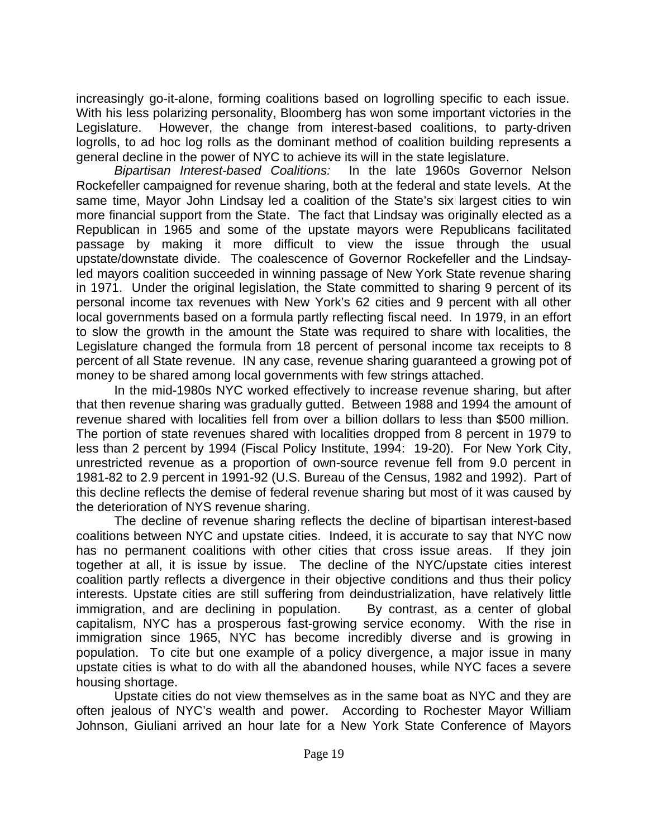increasingly go-it-alone, forming coalitions based on logrolling specific to each issue. With his less polarizing personality, Bloomberg has won some important victories in the Legislature. However, the change from interest-based coalitions, to party-driven logrolls, to ad hoc log rolls as the dominant method of coalition building represents a general decline in the power of NYC to achieve its will in the state legislature.

*Bipartisan Interest-based Coalitions:* In the late 1960s Governor Nelson Rockefeller campaigned for revenue sharing, both at the federal and state levels. At the same time, Mayor John Lindsay led a coalition of the State's six largest cities to win more financial support from the State. The fact that Lindsay was originally elected as a Republican in 1965 and some of the upstate mayors were Republicans facilitated passage by making it more difficult to view the issue through the usual upstate/downstate divide. The coalescence of Governor Rockefeller and the Lindsayled mayors coalition succeeded in winning passage of New York State revenue sharing in 1971. Under the original legislation, the State committed to sharing 9 percent of its personal income tax revenues with New York's 62 cities and 9 percent with all other local governments based on a formula partly reflecting fiscal need. In 1979, in an effort to slow the growth in the amount the State was required to share with localities, the Legislature changed the formula from 18 percent of personal income tax receipts to 8 percent of all State revenue. IN any case, revenue sharing guaranteed a growing pot of money to be shared among local governments with few strings attached.

In the mid-1980s NYC worked effectively to increase revenue sharing, but after that then revenue sharing was gradually gutted. Between 1988 and 1994 the amount of revenue shared with localities fell from over a billion dollars to less than \$500 million. The portion of state revenues shared with localities dropped from 8 percent in 1979 to less than 2 percent by 1994 (Fiscal Policy Institute, 1994: 19-20). For New York City, unrestricted revenue as a proportion of own-source revenue fell from 9.0 percent in 1981-82 to 2.9 percent in 1991-92 (U.S. Bureau of the Census, 1982 and 1992). Part of this decline reflects the demise of federal revenue sharing but most of it was caused by the deterioration of NYS revenue sharing.

The decline of revenue sharing reflects the decline of bipartisan interest-based coalitions between NYC and upstate cities. Indeed, it is accurate to say that NYC now has no permanent coalitions with other cities that cross issue areas. If they join together at all, it is issue by issue. The decline of the NYC/upstate cities interest coalition partly reflects a divergence in their objective conditions and thus their policy interests. Upstate cities are still suffering from deindustrialization, have relatively little immigration, and are declining in population. By contrast, as a center of global capitalism, NYC has a prosperous fast-growing service economy. With the rise in immigration since 1965, NYC has become incredibly diverse and is growing in population. To cite but one example of a policy divergence, a major issue in many upstate cities is what to do with all the abandoned houses, while NYC faces a severe housing shortage.

Upstate cities do not view themselves as in the same boat as NYC and they are often jealous of NYC's wealth and power. According to Rochester Mayor William Johnson, Giuliani arrived an hour late for a New York State Conference of Mayors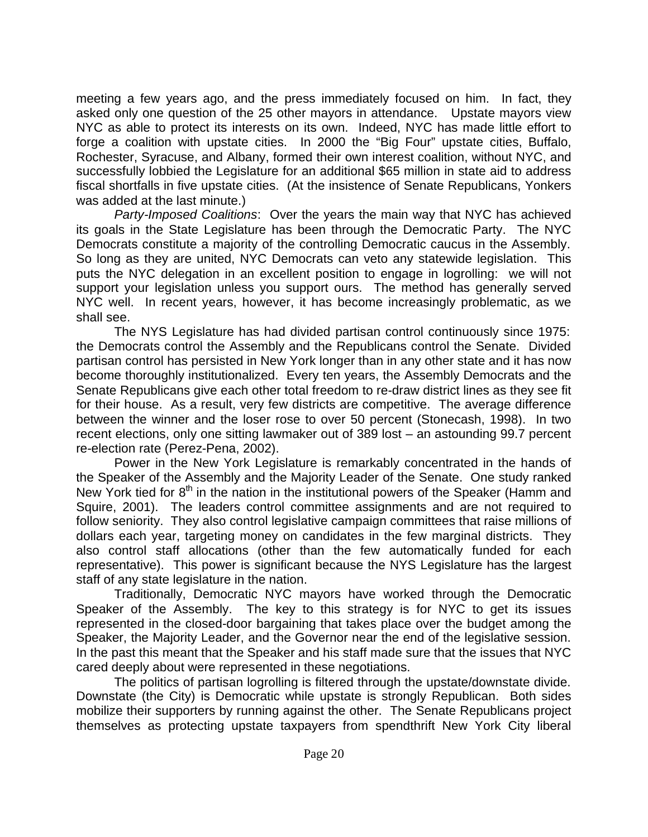meeting a few years ago, and the press immediately focused on him. In fact, they asked only one question of the 25 other mayors in attendance. Upstate mayors view NYC as able to protect its interests on its own. Indeed, NYC has made little effort to forge a coalition with upstate cities. In 2000 the "Big Four" upstate cities, Buffalo, Rochester, Syracuse, and Albany, formed their own interest coalition, without NYC, and successfully lobbied the Legislature for an additional \$65 million in state aid to address fiscal shortfalls in five upstate cities. (At the insistence of Senate Republicans, Yonkers was added at the last minute.)

*Party-Imposed Coalitions*: Over the years the main way that NYC has achieved its goals in the State Legislature has been through the Democratic Party. The NYC Democrats constitute a majority of the controlling Democratic caucus in the Assembly. So long as they are united, NYC Democrats can veto any statewide legislation. This puts the NYC delegation in an excellent position to engage in logrolling: we will not support your legislation unless you support ours. The method has generally served NYC well. In recent years, however, it has become increasingly problematic, as we shall see.

The NYS Legislature has had divided partisan control continuously since 1975: the Democrats control the Assembly and the Republicans control the Senate. Divided partisan control has persisted in New York longer than in any other state and it has now become thoroughly institutionalized. Every ten years, the Assembly Democrats and the Senate Republicans give each other total freedom to re-draw district lines as they see fit for their house. As a result, very few districts are competitive. The average difference between the winner and the loser rose to over 50 percent (Stonecash, 1998). In two recent elections, only one sitting lawmaker out of 389 lost – an astounding 99.7 percent re-election rate (Perez-Pena, 2002).

Power in the New York Legislature is remarkably concentrated in the hands of the Speaker of the Assembly and the Majority Leader of the Senate. One study ranked New York tied for  $8<sup>th</sup>$  in the nation in the institutional powers of the Speaker (Hamm and Squire, 2001). The leaders control committee assignments and are not required to follow seniority. They also control legislative campaign committees that raise millions of dollars each year, targeting money on candidates in the few marginal districts. They also control staff allocations (other than the few automatically funded for each representative). This power is significant because the NYS Legislature has the largest staff of any state legislature in the nation.

Traditionally, Democratic NYC mayors have worked through the Democratic Speaker of the Assembly. The key to this strategy is for NYC to get its issues represented in the closed-door bargaining that takes place over the budget among the Speaker, the Majority Leader, and the Governor near the end of the legislative session. In the past this meant that the Speaker and his staff made sure that the issues that NYC cared deeply about were represented in these negotiations.

The politics of partisan logrolling is filtered through the upstate/downstate divide. Downstate (the City) is Democratic while upstate is strongly Republican. Both sides mobilize their supporters by running against the other. The Senate Republicans project themselves as protecting upstate taxpayers from spendthrift New York City liberal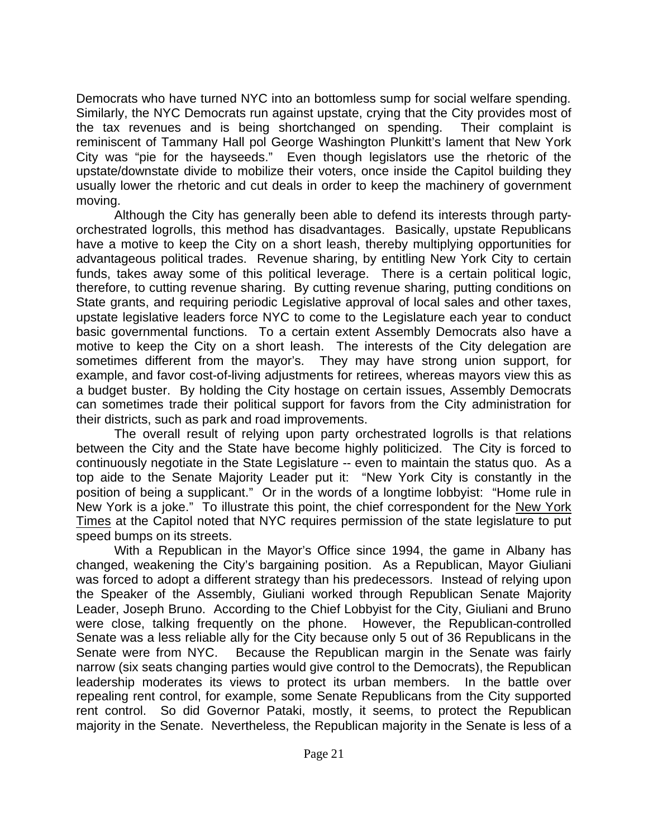Democrats who have turned NYC into an bottomless sump for social welfare spending. Similarly, the NYC Democrats run against upstate, crying that the City provides most of the tax revenues and is being shortchanged on spending. Their complaint is reminiscent of Tammany Hall pol George Washington Plunkitt's lament that New York City was "pie for the hayseeds." Even though legislators use the rhetoric of the upstate/downstate divide to mobilize their voters, once inside the Capitol building they usually lower the rhetoric and cut deals in order to keep the machinery of government moving.

Although the City has generally been able to defend its interests through partyorchestrated logrolls, this method has disadvantages. Basically, upstate Republicans have a motive to keep the City on a short leash, thereby multiplying opportunities for advantageous political trades. Revenue sharing, by entitling New York City to certain funds, takes away some of this political leverage. There is a certain political logic, therefore, to cutting revenue sharing. By cutting revenue sharing, putting conditions on State grants, and requiring periodic Legislative approval of local sales and other taxes, upstate legislative leaders force NYC to come to the Legislature each year to conduct basic governmental functions. To a certain extent Assembly Democrats also have a motive to keep the City on a short leash. The interests of the City delegation are sometimes different from the mayor's. They may have strong union support, for example, and favor cost-of-living adjustments for retirees, whereas mayors view this as a budget buster. By holding the City hostage on certain issues, Assembly Democrats can sometimes trade their political support for favors from the City administration for their districts, such as park and road improvements.

The overall result of relying upon party orchestrated logrolls is that relations between the City and the State have become highly politicized. The City is forced to continuously negotiate in the State Legislature -- even to maintain the status quo. As a top aide to the Senate Majority Leader put it: "New York City is constantly in the position of being a supplicant." Or in the words of a longtime lobbyist: "Home rule in New York is a joke." To illustrate this point, the chief correspondent for the New York Times at the Capitol noted that NYC requires permission of the state legislature to put speed bumps on its streets.

With a Republican in the Mayor's Office since 1994, the game in Albany has changed, weakening the City's bargaining position. As a Republican, Mayor Giuliani was forced to adopt a different strategy than his predecessors. Instead of relying upon the Speaker of the Assembly, Giuliani worked through Republican Senate Majority Leader, Joseph Bruno. According to the Chief Lobbyist for the City, Giuliani and Bruno were close, talking frequently on the phone. However, the Republican-controlled Senate was a less reliable ally for the City because only 5 out of 36 Republicans in the Senate were from NYC. Because the Republican margin in the Senate was fairly narrow (six seats changing parties would give control to the Democrats), the Republican leadership moderates its views to protect its urban members. In the battle over repealing rent control, for example, some Senate Republicans from the City supported rent control. So did Governor Pataki, mostly, it seems, to protect the Republican majority in the Senate. Nevertheless, the Republican majority in the Senate is less of a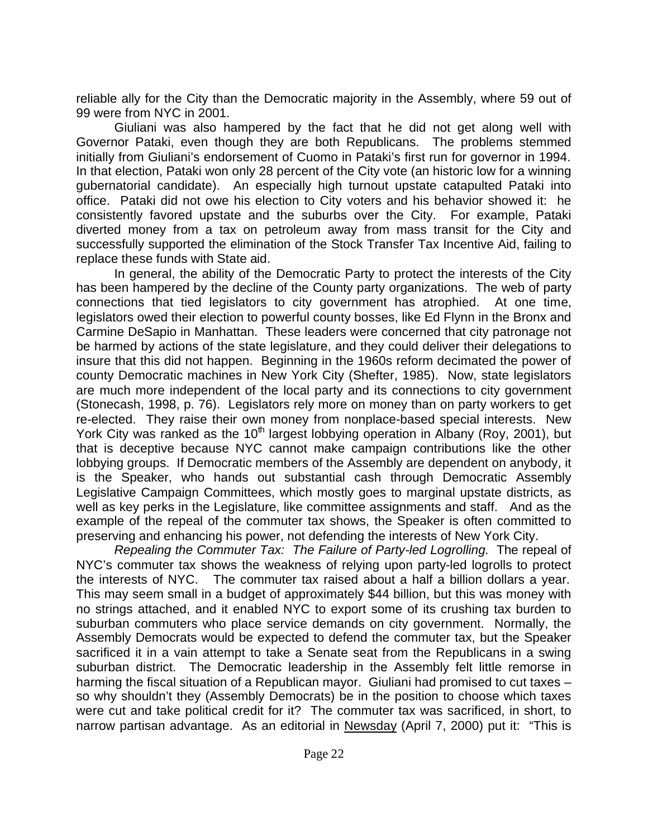reliable ally for the City than the Democratic majority in the Assembly, where 59 out of 99 were from NYC in 2001.

Giuliani was also hampered by the fact that he did not get along well with Governor Pataki, even though they are both Republicans. The problems stemmed initially from Giuliani's endorsement of Cuomo in Pataki's first run for governor in 1994. In that election, Pataki won only 28 percent of the City vote (an historic low for a winning gubernatorial candidate). An especially high turnout upstate catapulted Pataki into office. Pataki did not owe his election to City voters and his behavior showed it: he consistently favored upstate and the suburbs over the City. For example, Pataki diverted money from a tax on petroleum away from mass transit for the City and successfully supported the elimination of the Stock Transfer Tax Incentive Aid, failing to replace these funds with State aid.

In general, the ability of the Democratic Party to protect the interests of the City has been hampered by the decline of the County party organizations. The web of party connections that tied legislators to city government has atrophied. At one time, legislators owed their election to powerful county bosses, like Ed Flynn in the Bronx and Carmine DeSapio in Manhattan. These leaders were concerned that city patronage not be harmed by actions of the state legislature, and they could deliver their delegations to insure that this did not happen. Beginning in the 1960s reform decimated the power of county Democratic machines in New York City (Shefter, 1985). Now, state legislators are much more independent of the local party and its connections to city government (Stonecash, 1998, p. 76). Legislators rely more on money than on party workers to get re-elected. They raise their own money from nonplace-based special interests. New York City was ranked as the 10<sup>th</sup> largest lobbying operation in Albany (Roy, 2001), but that is deceptive because NYC cannot make campaign contributions like the other lobbying groups. If Democratic members of the Assembly are dependent on anybody, it is the Speaker, who hands out substantial cash through Democratic Assembly Legislative Campaign Committees, which mostly goes to marginal upstate districts, as well as key perks in the Legislature, like committee assignments and staff. And as the example of the repeal of the commuter tax shows, the Speaker is often committed to preserving and enhancing his power, not defending the interests of New York City.

*Repealing the Commuter Tax: The Failure of Party-led Logrolling.* The repeal of NYC's commuter tax shows the weakness of relying upon party-led logrolls to protect the interests of NYC. The commuter tax raised about a half a billion dollars a year. This may seem small in a budget of approximately \$44 billion, but this was money with no strings attached, and it enabled NYC to export some of its crushing tax burden to suburban commuters who place service demands on city government. Normally, the Assembly Democrats would be expected to defend the commuter tax, but the Speaker sacrificed it in a vain attempt to take a Senate seat from the Republicans in a swing suburban district. The Democratic leadership in the Assembly felt little remorse in harming the fiscal situation of a Republican mayor. Giuliani had promised to cut taxes – so why shouldn't they (Assembly Democrats) be in the position to choose which taxes were cut and take political credit for it? The commuter tax was sacrificed, in short, to narrow partisan advantage. As an editorial in Newsday (April 7, 2000) put it: "This is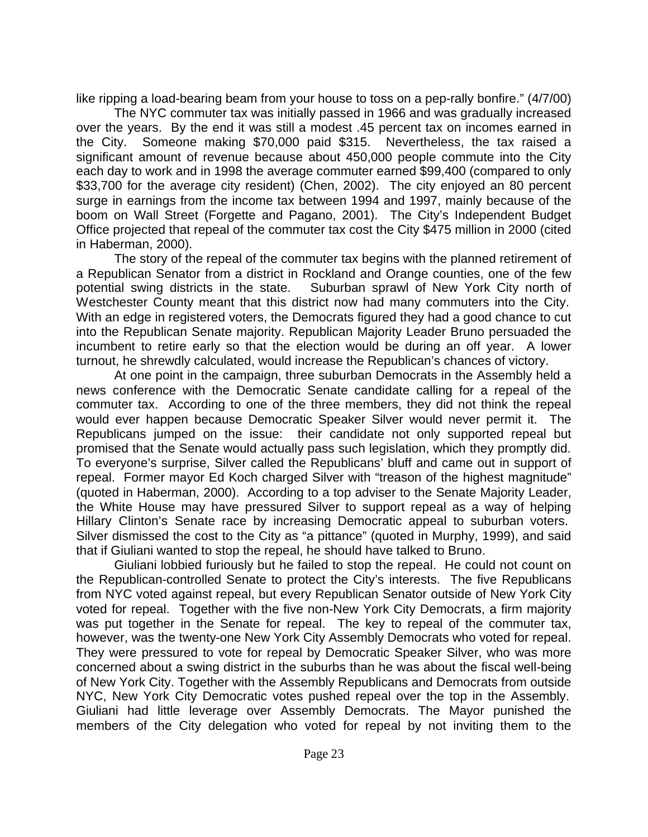like ripping a load-bearing beam from your house to toss on a pep-rally bonfire." (4/7/00)

The NYC commuter tax was initially passed in 1966 and was gradually increased over the years. By the end it was still a modest .45 percent tax on incomes earned in the City. Someone making \$70,000 paid \$315. Nevertheless, the tax raised a significant amount of revenue because about 450,000 people commute into the City each day to work and in 1998 the average commuter earned \$99,400 (compared to only \$33,700 for the average city resident) (Chen, 2002). The city enjoyed an 80 percent surge in earnings from the income tax between 1994 and 1997, mainly because of the boom on Wall Street (Forgette and Pagano, 2001). The City's Independent Budget Office projected that repeal of the commuter tax cost the City \$475 million in 2000 (cited in Haberman, 2000).

The story of the repeal of the commuter tax begins with the planned retirement of a Republican Senator from a district in Rockland and Orange counties, one of the few potential swing districts in the state. Suburban sprawl of New York City north of Westchester County meant that this district now had many commuters into the City. With an edge in registered voters, the Democrats figured they had a good chance to cut into the Republican Senate majority. Republican Majority Leader Bruno persuaded the incumbent to retire early so that the election would be during an off year. A lower turnout, he shrewdly calculated, would increase the Republican's chances of victory.

At one point in the campaign, three suburban Democrats in the Assembly held a news conference with the Democratic Senate candidate calling for a repeal of the commuter tax. According to one of the three members, they did not think the repeal would ever happen because Democratic Speaker Silver would never permit it. The Republicans jumped on the issue: their candidate not only supported repeal but promised that the Senate would actually pass such legislation, which they promptly did. To everyone's surprise, Silver called the Republicans' bluff and came out in support of repeal. Former mayor Ed Koch charged Silver with "treason of the highest magnitude" (quoted in Haberman, 2000). According to a top adviser to the Senate Majority Leader, the White House may have pressured Silver to support repeal as a way of helping Hillary Clinton's Senate race by increasing Democratic appeal to suburban voters. Silver dismissed the cost to the City as "a pittance" (quoted in Murphy, 1999), and said that if Giuliani wanted to stop the repeal, he should have talked to Bruno.

Giuliani lobbied furiously but he failed to stop the repeal. He could not count on the Republican-controlled Senate to protect the City's interests. The five Republicans from NYC voted against repeal, but every Republican Senator outside of New York City voted for repeal. Together with the five non-New York City Democrats, a firm majority was put together in the Senate for repeal. The key to repeal of the commuter tax, however, was the twenty-one New York City Assembly Democrats who voted for repeal. They were pressured to vote for repeal by Democratic Speaker Silver, who was more concerned about a swing district in the suburbs than he was about the fiscal well-being of New York City. Together with the Assembly Republicans and Democrats from outside NYC, New York City Democratic votes pushed repeal over the top in the Assembly. Giuliani had little leverage over Assembly Democrats. The Mayor punished the members of the City delegation who voted for repeal by not inviting them to the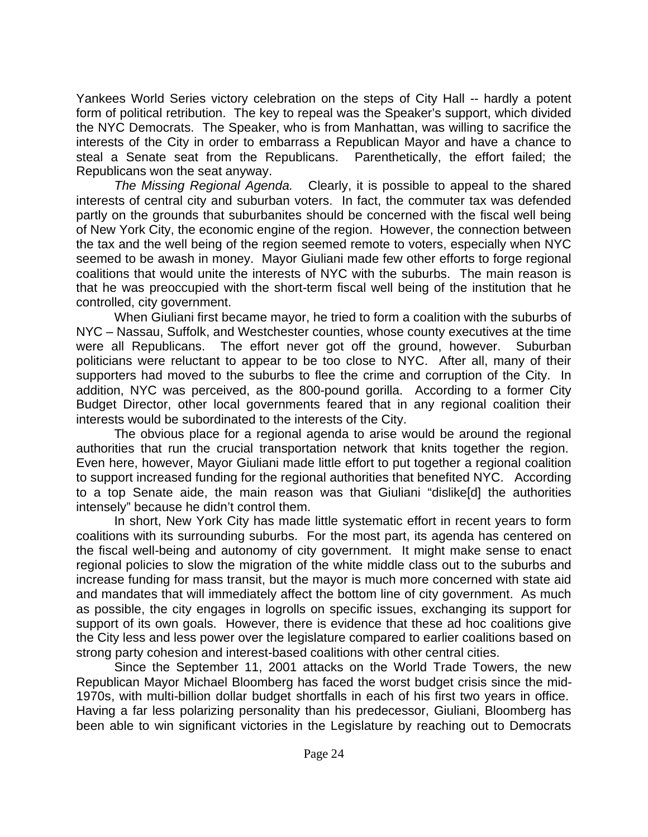Yankees World Series victory celebration on the steps of City Hall -- hardly a potent form of political retribution. The key to repeal was the Speaker's support, which divided the NYC Democrats. The Speaker, who is from Manhattan, was willing to sacrifice the interests of the City in order to embarrass a Republican Mayor and have a chance to steal a Senate seat from the Republicans. Parenthetically, the effort failed; the Republicans won the seat anyway.

*The Missing Regional Agenda.* Clearly, it is possible to appeal to the shared interests of central city and suburban voters. In fact, the commuter tax was defended partly on the grounds that suburbanites should be concerned with the fiscal well being of New York City, the economic engine of the region. However, the connection between the tax and the well being of the region seemed remote to voters, especially when NYC seemed to be awash in money. Mayor Giuliani made few other efforts to forge regional coalitions that would unite the interests of NYC with the suburbs. The main reason is that he was preoccupied with the short-term fiscal well being of the institution that he controlled, city government.

When Giuliani first became mayor, he tried to form a coalition with the suburbs of NYC – Nassau, Suffolk, and Westchester counties, whose county executives at the time were all Republicans. The effort never got off the ground, however. Suburban politicians were reluctant to appear to be too close to NYC. After all, many of their supporters had moved to the suburbs to flee the crime and corruption of the City. In addition, NYC was perceived, as the 800-pound gorilla. According to a former City Budget Director, other local governments feared that in any regional coalition their interests would be subordinated to the interests of the City.

The obvious place for a regional agenda to arise would be around the regional authorities that run the crucial transportation network that knits together the region. Even here, however, Mayor Giuliani made little effort to put together a regional coalition to support increased funding for the regional authorities that benefited NYC. According to a top Senate aide, the main reason was that Giuliani "dislike[d] the authorities intensely" because he didn't control them.

In short, New York City has made little systematic effort in recent years to form coalitions with its surrounding suburbs. For the most part, its agenda has centered on the fiscal well-being and autonomy of city government. It might make sense to enact regional policies to slow the migration of the white middle class out to the suburbs and increase funding for mass transit, but the mayor is much more concerned with state aid and mandates that will immediately affect the bottom line of city government. As much as possible, the city engages in logrolls on specific issues, exchanging its support for support of its own goals. However, there is evidence that these ad hoc coalitions give the City less and less power over the legislature compared to earlier coalitions based on strong party cohesion and interest-based coalitions with other central cities.

Since the September 11, 2001 attacks on the World Trade Towers, the new Republican Mayor Michael Bloomberg has faced the worst budget crisis since the mid-1970s, with multi-billion dollar budget shortfalls in each of his first two years in office. Having a far less polarizing personality than his predecessor, Giuliani, Bloomberg has been able to win significant victories in the Legislature by reaching out to Democrats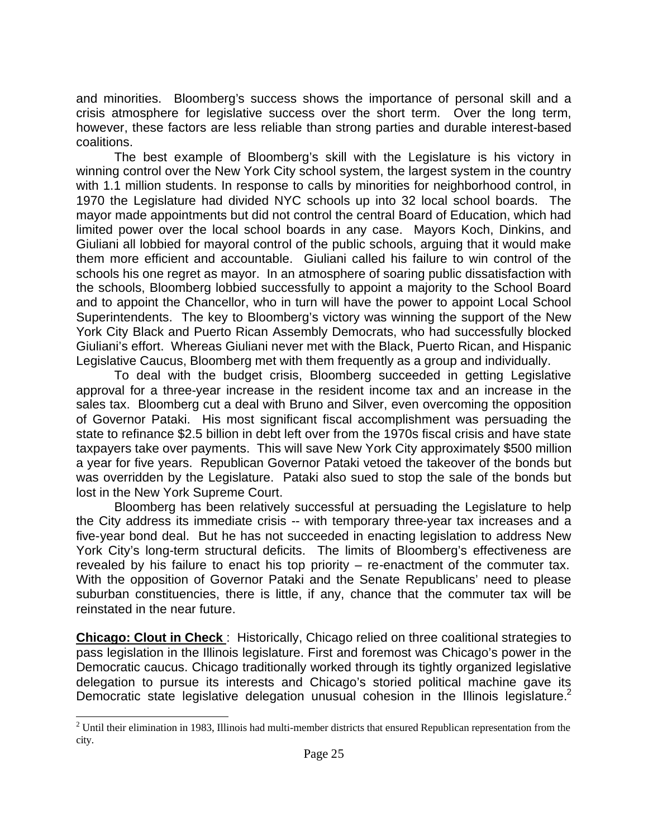and minorities. Bloomberg's success shows the importance of personal skill and a crisis atmosphere for legislative success over the short term. Over the long term, however, these factors are less reliable than strong parties and durable interest-based coalitions.

The best example of Bloomberg's skill with the Legislature is his victory in winning control over the New York City school system, the largest system in the country with 1.1 million students. In response to calls by minorities for neighborhood control, in 1970 the Legislature had divided NYC schools up into 32 local school boards. The mayor made appointments but did not control the central Board of Education, which had limited power over the local school boards in any case. Mayors Koch, Dinkins, and Giuliani all lobbied for mayoral control of the public schools, arguing that it would make them more efficient and accountable. Giuliani called his failure to win control of the schools his one regret as mayor. In an atmosphere of soaring public dissatisfaction with the schools, Bloomberg lobbied successfully to appoint a majority to the School Board and to appoint the Chancellor, who in turn will have the power to appoint Local School Superintendents. The key to Bloomberg's victory was winning the support of the New York City Black and Puerto Rican Assembly Democrats, who had successfully blocked Giuliani's effort. Whereas Giuliani never met with the Black, Puerto Rican, and Hispanic Legislative Caucus, Bloomberg met with them frequently as a group and individually.

To deal with the budget crisis, Bloomberg succeeded in getting Legislative approval for a three-year increase in the resident income tax and an increase in the sales tax. Bloomberg cut a deal with Bruno and Silver, even overcoming the opposition of Governor Pataki. His most significant fiscal accomplishment was persuading the state to refinance \$2.5 billion in debt left over from the 1970s fiscal crisis and have state taxpayers take over payments. This will save New York City approximately \$500 million a year for five years. Republican Governor Pataki vetoed the takeover of the bonds but was overridden by the Legislature. Pataki also sued to stop the sale of the bonds but lost in the New York Supreme Court.

Bloomberg has been relatively successful at persuading the Legislature to help the City address its immediate crisis -- with temporary three-year tax increases and a five-year bond deal. But he has not succeeded in enacting legislation to address New York City's long-term structural deficits. The limits of Bloomberg's effectiveness are revealed by his failure to enact his top priority – re-enactment of the commuter tax. With the opposition of Governor Pataki and the Senate Republicans' need to please suburban constituencies, there is little, if any, chance that the commuter tax will be reinstated in the near future.

**Chicago: Clout in Check** : Historically, Chicago relied on three coalitional strategies to pass legislation in the Illinois legislature. First and foremost was Chicago's power in the Democratic caucus. Chicago traditionally worked through its tightly organized legislative delegation to pursue its interests and Chicago's storied political machine gave its Democratic state legislative delegation unusual cohesion in the Illinois legislature.<sup>2</sup>

<sup>&</sup>lt;sup>2</sup> Until their elimination in 1983, Illinois had multi-member districts that ensured Republican representation from the city.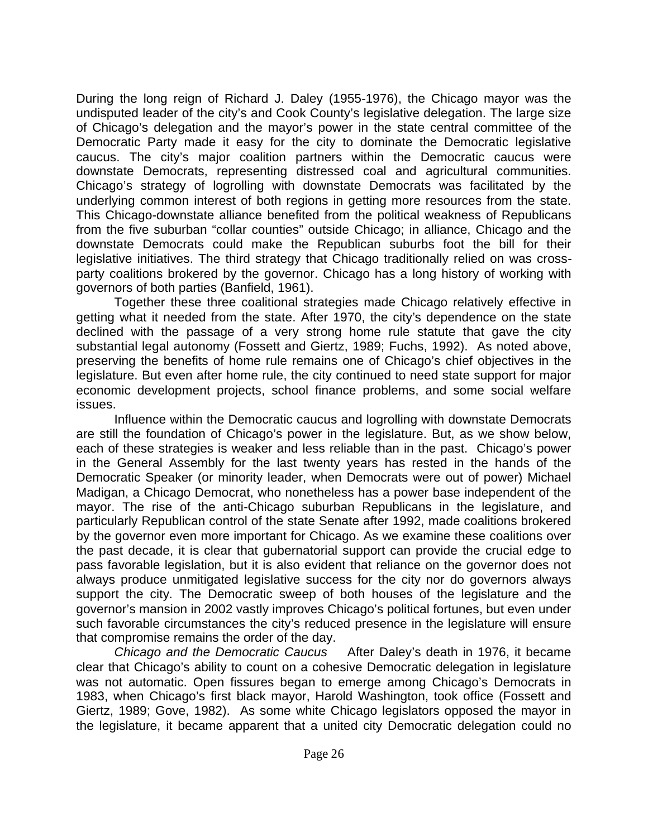During the long reign of Richard J. Daley (1955-1976), the Chicago mayor was the undisputed leader of the city's and Cook County's legislative delegation. The large size of Chicago's delegation and the mayor's power in the state central committee of the Democratic Party made it easy for the city to dominate the Democratic legislative caucus. The city's major coalition partners within the Democratic caucus were downstate Democrats, representing distressed coal and agricultural communities. Chicago's strategy of logrolling with downstate Democrats was facilitated by the underlying common interest of both regions in getting more resources from the state. This Chicago-downstate alliance benefited from the political weakness of Republicans from the five suburban "collar counties" outside Chicago; in alliance, Chicago and the downstate Democrats could make the Republican suburbs foot the bill for their legislative initiatives. The third strategy that Chicago traditionally relied on was crossparty coalitions brokered by the governor. Chicago has a long history of working with governors of both parties (Banfield, 1961).

Together these three coalitional strategies made Chicago relatively effective in getting what it needed from the state. After 1970, the city's dependence on the state declined with the passage of a very strong home rule statute that gave the city substantial legal autonomy (Fossett and Giertz, 1989; Fuchs, 1992). As noted above, preserving the benefits of home rule remains one of Chicago's chief objectives in the legislature. But even after home rule, the city continued to need state support for major economic development projects, school finance problems, and some social welfare issues.

Influence within the Democratic caucus and logrolling with downstate Democrats are still the foundation of Chicago's power in the legislature. But, as we show below, each of these strategies is weaker and less reliable than in the past. Chicago's power in the General Assembly for the last twenty years has rested in the hands of the Democratic Speaker (or minority leader, when Democrats were out of power) Michael Madigan, a Chicago Democrat, who nonetheless has a power base independent of the mayor. The rise of the anti-Chicago suburban Republicans in the legislature, and particularly Republican control of the state Senate after 1992, made coalitions brokered by the governor even more important for Chicago. As we examine these coalitions over the past decade, it is clear that gubernatorial support can provide the crucial edge to pass favorable legislation, but it is also evident that reliance on the governor does not always produce unmitigated legislative success for the city nor do governors always support the city. The Democratic sweep of both houses of the legislature and the governor's mansion in 2002 vastly improves Chicago's political fortunes, but even under such favorable circumstances the city's reduced presence in the legislature will ensure that compromise remains the order of the day.

*Chicago and the Democratic Caucus* After Daley's death in 1976, it became clear that Chicago's ability to count on a cohesive Democratic delegation in legislature was not automatic. Open fissures began to emerge among Chicago's Democrats in 1983, when Chicago's first black mayor, Harold Washington, took office (Fossett and Giertz, 1989; Gove, 1982). As some white Chicago legislators opposed the mayor in the legislature, it became apparent that a united city Democratic delegation could no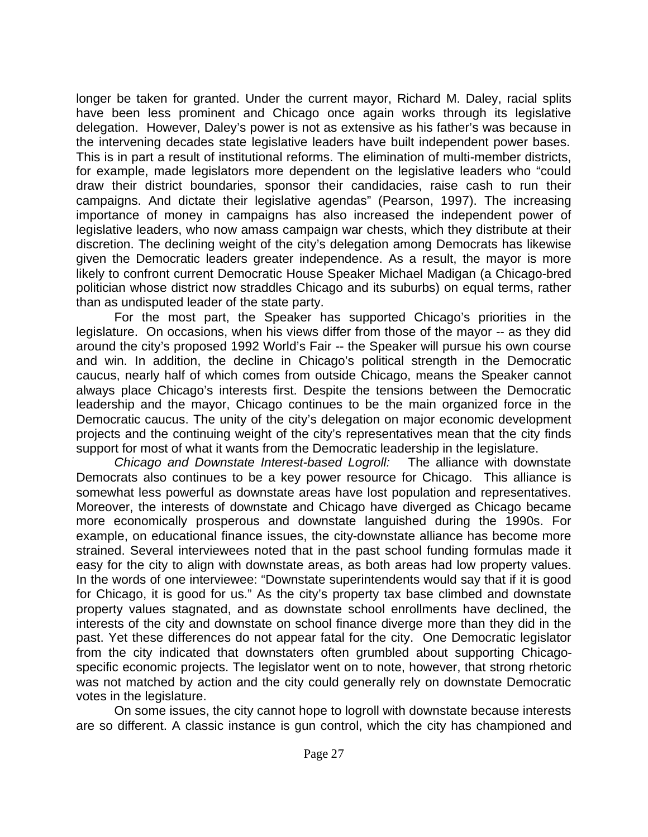longer be taken for granted. Under the current mayor, Richard M. Daley, racial splits have been less prominent and Chicago once again works through its legislative delegation. However, Daley's power is not as extensive as his father's was because in the intervening decades state legislative leaders have built independent power bases. This is in part a result of institutional reforms. The elimination of multi-member districts, for example, made legislators more dependent on the legislative leaders who "could draw their district boundaries, sponsor their candidacies, raise cash to run their campaigns. And dictate their legislative agendas" (Pearson, 1997). The increasing importance of money in campaigns has also increased the independent power of legislative leaders, who now amass campaign war chests, which they distribute at their discretion. The declining weight of the city's delegation among Democrats has likewise given the Democratic leaders greater independence. As a result, the mayor is more likely to confront current Democratic House Speaker Michael Madigan (a Chicago-bred politician whose district now straddles Chicago and its suburbs) on equal terms, rather than as undisputed leader of the state party.

For the most part, the Speaker has supported Chicago's priorities in the legislature. On occasions, when his views differ from those of the mayor -- as they did around the city's proposed 1992 World's Fair -- the Speaker will pursue his own course and win. In addition, the decline in Chicago's political strength in the Democratic caucus, nearly half of which comes from outside Chicago, means the Speaker cannot always place Chicago's interests first. Despite the tensions between the Democratic leadership and the mayor, Chicago continues to be the main organized force in the Democratic caucus. The unity of the city's delegation on major economic development projects and the continuing weight of the city's representatives mean that the city finds support for most of what it wants from the Democratic leadership in the legislature.

*Chicago and Downstate Interest-based Logroll:* The alliance with downstate Democrats also continues to be a key power resource for Chicago. This alliance is somewhat less powerful as downstate areas have lost population and representatives. Moreover, the interests of downstate and Chicago have diverged as Chicago became more economically prosperous and downstate languished during the 1990s. For example, on educational finance issues, the city-downstate alliance has become more strained. Several interviewees noted that in the past school funding formulas made it easy for the city to align with downstate areas, as both areas had low property values. In the words of one interviewee: "Downstate superintendents would say that if it is good for Chicago, it is good for us." As the city's property tax base climbed and downstate property values stagnated, and as downstate school enrollments have declined, the interests of the city and downstate on school finance diverge more than they did in the past. Yet these differences do not appear fatal for the city. One Democratic legislator from the city indicated that downstaters often grumbled about supporting Chicagospecific economic projects. The legislator went on to note, however, that strong rhetoric was not matched by action and the city could generally rely on downstate Democratic votes in the legislature.

On some issues, the city cannot hope to logroll with downstate because interests are so different. A classic instance is gun control, which the city has championed and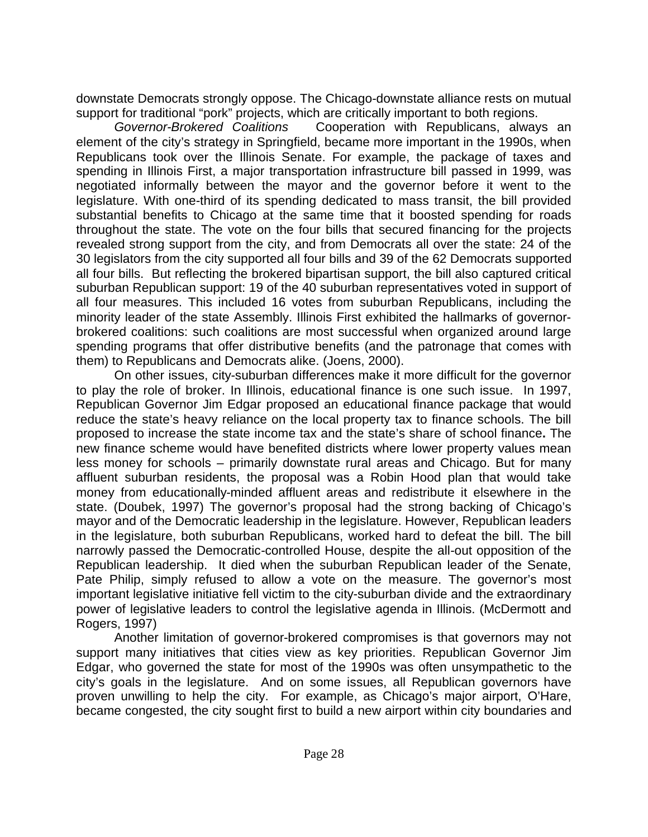downstate Democrats strongly oppose. The Chicago-downstate alliance rests on mutual support for traditional "pork" projects, which are critically important to both regions.

*Governor-Brokered Coalitions* Cooperation with Republicans, always an element of the city's strategy in Springfield, became more important in the 1990s, when Republicans took over the Illinois Senate. For example, the package of taxes and spending in Illinois First, a major transportation infrastructure bill passed in 1999, was negotiated informally between the mayor and the governor before it went to the legislature. With one-third of its spending dedicated to mass transit, the bill provided substantial benefits to Chicago at the same time that it boosted spending for roads throughout the state. The vote on the four bills that secured financing for the projects revealed strong support from the city, and from Democrats all over the state: 24 of the 30 legislators from the city supported all four bills and 39 of the 62 Democrats supported all four bills. But reflecting the brokered bipartisan support, the bill also captured critical suburban Republican support: 19 of the 40 suburban representatives voted in support of all four measures. This included 16 votes from suburban Republicans, including the minority leader of the state Assembly. Illinois First exhibited the hallmarks of governorbrokered coalitions: such coalitions are most successful when organized around large spending programs that offer distributive benefits (and the patronage that comes with them) to Republicans and Democrats alike. (Joens, 2000).

On other issues, city-suburban differences make it more difficult for the governor to play the role of broker. In Illinois, educational finance is one such issue. In 1997, Republican Governor Jim Edgar proposed an educational finance package that would reduce the state's heavy reliance on the local property tax to finance schools. The bill proposed to increase the state income tax and the state's share of school finance**.** The new finance scheme would have benefited districts where lower property values mean less money for schools – primarily downstate rural areas and Chicago. But for many affluent suburban residents, the proposal was a Robin Hood plan that would take money from educationally-minded affluent areas and redistribute it elsewhere in the state. (Doubek, 1997) The governor's proposal had the strong backing of Chicago's mayor and of the Democratic leadership in the legislature. However, Republican leaders in the legislature, both suburban Republicans, worked hard to defeat the bill. The bill narrowly passed the Democratic-controlled House, despite the all-out opposition of the Republican leadership. It died when the suburban Republican leader of the Senate, Pate Philip, simply refused to allow a vote on the measure. The governor's most important legislative initiative fell victim to the city-suburban divide and the extraordinary power of legislative leaders to control the legislative agenda in Illinois. (McDermott and Rogers, 1997)

Another limitation of governor-brokered compromises is that governors may not support many initiatives that cities view as key priorities. Republican Governor Jim Edgar, who governed the state for most of the 1990s was often unsympathetic to the city's goals in the legislature. And on some issues, all Republican governors have proven unwilling to help the city. For example, as Chicago's major airport, O'Hare, became congested, the city sought first to build a new airport within city boundaries and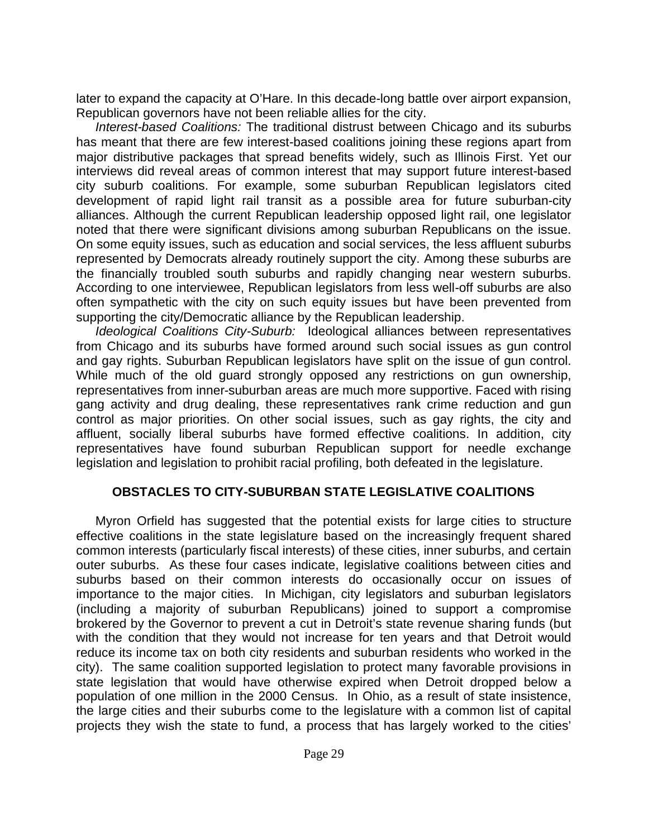later to expand the capacity at O'Hare. In this decade-long battle over airport expansion, Republican governors have not been reliable allies for the city.

*Interest-based Coalitions:* The traditional distrust between Chicago and its suburbs has meant that there are few interest-based coalitions joining these regions apart from major distributive packages that spread benefits widely, such as Illinois First. Yet our interviews did reveal areas of common interest that may support future interest-based city suburb coalitions. For example, some suburban Republican legislators cited development of rapid light rail transit as a possible area for future suburban-city alliances. Although the current Republican leadership opposed light rail, one legislator noted that there were significant divisions among suburban Republicans on the issue. On some equity issues, such as education and social services, the less affluent suburbs represented by Democrats already routinely support the city. Among these suburbs are the financially troubled south suburbs and rapidly changing near western suburbs. According to one interviewee, Republican legislators from less well-off suburbs are also often sympathetic with the city on such equity issues but have been prevented from supporting the city/Democratic alliance by the Republican leadership.

*Ideological Coalitions City-Suburb:* Ideological alliances between representatives from Chicago and its suburbs have formed around such social issues as gun control and gay rights. Suburban Republican legislators have split on the issue of gun control. While much of the old guard strongly opposed any restrictions on gun ownership, representatives from inner-suburban areas are much more supportive. Faced with rising gang activity and drug dealing, these representatives rank crime reduction and gun control as major priorities. On other social issues, such as gay rights, the city and affluent, socially liberal suburbs have formed effective coalitions. In addition, city representatives have found suburban Republican support for needle exchange legislation and legislation to prohibit racial profiling, both defeated in the legislature.

## **OBSTACLES TO CITY-SUBURBAN STATE LEGISLATIVE COALITIONS**

Myron Orfield has suggested that the potential exists for large cities to structure effective coalitions in the state legislature based on the increasingly frequent shared common interests (particularly fiscal interests) of these cities, inner suburbs, and certain outer suburbs. As these four cases indicate, legislative coalitions between cities and suburbs based on their common interests do occasionally occur on issues of importance to the major cities. In Michigan, city legislators and suburban legislators (including a majority of suburban Republicans) joined to support a compromise brokered by the Governor to prevent a cut in Detroit's state revenue sharing funds (but with the condition that they would not increase for ten years and that Detroit would reduce its income tax on both city residents and suburban residents who worked in the city). The same coalition supported legislation to protect many favorable provisions in state legislation that would have otherwise expired when Detroit dropped below a population of one million in the 2000 Census. In Ohio, as a result of state insistence, the large cities and their suburbs come to the legislature with a common list of capital projects they wish the state to fund, a process that has largely worked to the cities'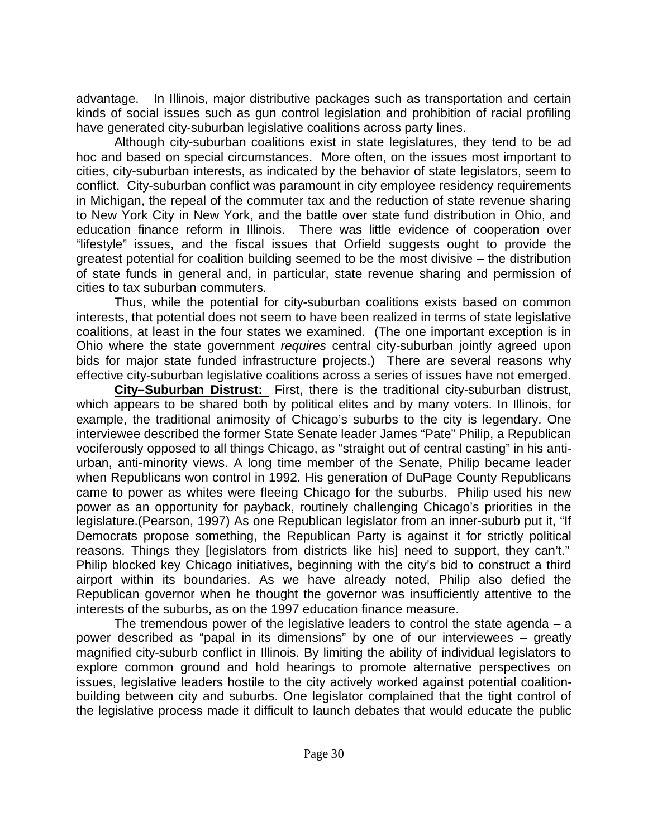advantage. In Illinois, major distributive packages such as transportation and certain kinds of social issues such as gun control legislation and prohibition of racial profiling have generated city-suburban legislative coalitions across party lines.

Although city-suburban coalitions exist in state legislatures, they tend to be ad hoc and based on special circumstances. More often, on the issues most important to cities, city-suburban interests, as indicated by the behavior of state legislators, seem to conflict. City-suburban conflict was paramount in city employee residency requirements in Michigan, the repeal of the commuter tax and the reduction of state revenue sharing to New York City in New York, and the battle over state fund distribution in Ohio, and education finance reform in Illinois. There was little evidence of cooperation over "lifestyle" issues, and the fiscal issues that Orfield suggests ought to provide the greatest potential for coalition building seemed to be the most divisive – the distribution of state funds in general and, in particular, state revenue sharing and permission of cities to tax suburban commuters.

Thus, while the potential for city-suburban coalitions exists based on common interests, that potential does not seem to have been realized in terms of state legislative coalitions, at least in the four states we examined. (The one important exception is in Ohio where the state government *requires* central city-suburban jointly agreed upon bids for major state funded infrastructure projects.) There are several reasons why effective city-suburban legislative coalitions across a series of issues have not emerged.

**City–Suburban Distrust:** First, there is the traditional city-suburban distrust, which appears to be shared both by political elites and by many voters. In Illinois, for example, the traditional animosity of Chicago's suburbs to the city is legendary. One interviewee described the former State Senate leader James "Pate" Philip, a Republican vociferously opposed to all things Chicago, as "straight out of central casting" in his antiurban, anti-minority views. A long time member of the Senate, Philip became leader when Republicans won control in 1992. His generation of DuPage County Republicans came to power as whites were fleeing Chicago for the suburbs. Philip used his new power as an opportunity for payback, routinely challenging Chicago's priorities in the legislature.(Pearson, 1997) As one Republican legislator from an inner-suburb put it, "If Democrats propose something, the Republican Party is against it for strictly political reasons. Things they [legislators from districts like his] need to support, they can't." Philip blocked key Chicago initiatives, beginning with the city's bid to construct a third airport within its boundaries. As we have already noted, Philip also defied the Republican governor when he thought the governor was insufficiently attentive to the interests of the suburbs, as on the 1997 education finance measure.

The tremendous power of the legislative leaders to control the state agenda – a power described as "papal in its dimensions" by one of our interviewees – greatly magnified city-suburb conflict in Illinois. By limiting the ability of individual legislators to explore common ground and hold hearings to promote alternative perspectives on issues, legislative leaders hostile to the city actively worked against potential coalitionbuilding between city and suburbs. One legislator complained that the tight control of the legislative process made it difficult to launch debates that would educate the public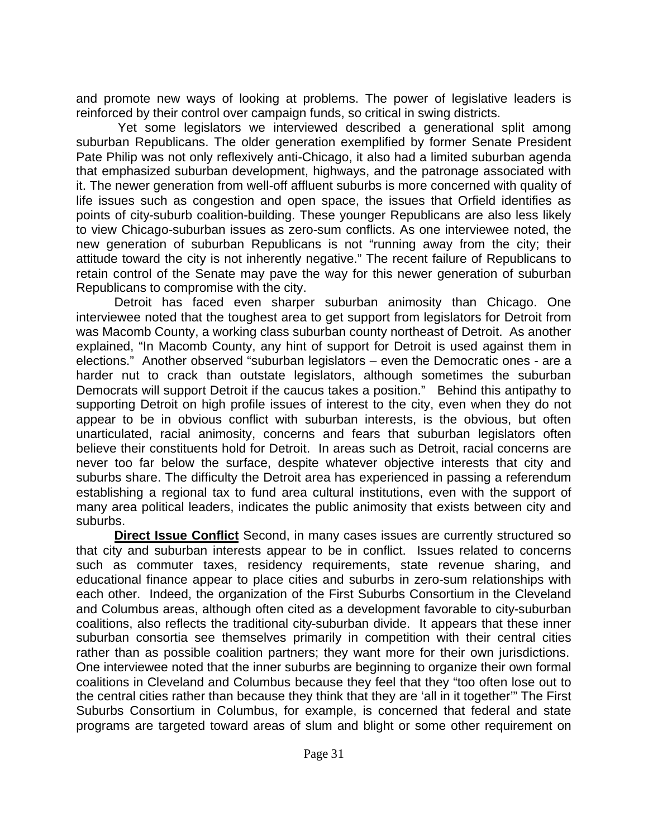and promote new ways of looking at problems. The power of legislative leaders is reinforced by their control over campaign funds, so critical in swing districts.

Yet some legislators we interviewed described a generational split among suburban Republicans. The older generation exemplified by former Senate President Pate Philip was not only reflexively anti-Chicago, it also had a limited suburban agenda that emphasized suburban development, highways, and the patronage associated with it. The newer generation from well-off affluent suburbs is more concerned with quality of life issues such as congestion and open space, the issues that Orfield identifies as points of city-suburb coalition-building. These younger Republicans are also less likely to view Chicago-suburban issues as zero-sum conflicts. As one interviewee noted, the new generation of suburban Republicans is not "running away from the city; their attitude toward the city is not inherently negative." The recent failure of Republicans to retain control of the Senate may pave the way for this newer generation of suburban Republicans to compromise with the city.

Detroit has faced even sharper suburban animosity than Chicago. One interviewee noted that the toughest area to get support from legislators for Detroit from was Macomb County, a working class suburban county northeast of Detroit. As another explained, "In Macomb County, any hint of support for Detroit is used against them in elections." Another observed "suburban legislators – even the Democratic ones - are a harder nut to crack than outstate legislators, although sometimes the suburban Democrats will support Detroit if the caucus takes a position." Behind this antipathy to supporting Detroit on high profile issues of interest to the city, even when they do not appear to be in obvious conflict with suburban interests, is the obvious, but often unarticulated, racial animosity, concerns and fears that suburban legislators often believe their constituents hold for Detroit. In areas such as Detroit, racial concerns are never too far below the surface, despite whatever objective interests that city and suburbs share. The difficulty the Detroit area has experienced in passing a referendum establishing a regional tax to fund area cultural institutions, even with the support of many area political leaders, indicates the public animosity that exists between city and suburbs.

**Direct Issue Conflict** Second, in many cases issues are currently structured so that city and suburban interests appear to be in conflict. Issues related to concerns such as commuter taxes, residency requirements, state revenue sharing, and educational finance appear to place cities and suburbs in zero-sum relationships with each other. Indeed, the organization of the First Suburbs Consortium in the Cleveland and Columbus areas, although often cited as a development favorable to city-suburban coalitions, also reflects the traditional city-suburban divide. It appears that these inner suburban consortia see themselves primarily in competition with their central cities rather than as possible coalition partners; they want more for their own jurisdictions. One interviewee noted that the inner suburbs are beginning to organize their own formal coalitions in Cleveland and Columbus because they feel that they "too often lose out to the central cities rather than because they think that they are 'all in it together'" The First Suburbs Consortium in Columbus, for example, is concerned that federal and state programs are targeted toward areas of slum and blight or some other requirement on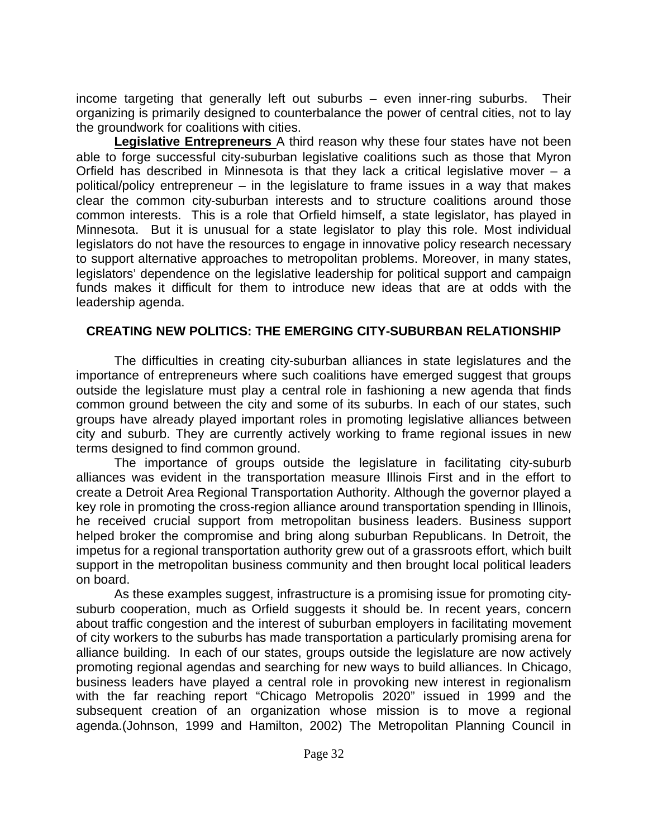income targeting that generally left out suburbs – even inner-ring suburbs. Their organizing is primarily designed to counterbalance the power of central cities, not to lay the groundwork for coalitions with cities.

**Legislative Entrepreneurs** A third reason why these four states have not been able to forge successful city-suburban legislative coalitions such as those that Myron Orfield has described in Minnesota is that they lack a critical legislative mover  $-$  a political/policy entrepreneur – in the legislature to frame issues in a way that makes clear the common city-suburban interests and to structure coalitions around those common interests. This is a role that Orfield himself, a state legislator, has played in Minnesota. But it is unusual for a state legislator to play this role. Most individual legislators do not have the resources to engage in innovative policy research necessary to support alternative approaches to metropolitan problems. Moreover, in many states, legislators' dependence on the legislative leadership for political support and campaign funds makes it difficult for them to introduce new ideas that are at odds with the leadership agenda.

## **CREATING NEW POLITICS: THE EMERGING CITY-SUBURBAN RELATIONSHIP**

The difficulties in creating city-suburban alliances in state legislatures and the importance of entrepreneurs where such coalitions have emerged suggest that groups outside the legislature must play a central role in fashioning a new agenda that finds common ground between the city and some of its suburbs. In each of our states, such groups have already played important roles in promoting legislative alliances between city and suburb. They are currently actively working to frame regional issues in new terms designed to find common ground.

The importance of groups outside the legislature in facilitating city-suburb alliances was evident in the transportation measure Illinois First and in the effort to create a Detroit Area Regional Transportation Authority. Although the governor played a key role in promoting the cross-region alliance around transportation spending in Illinois, he received crucial support from metropolitan business leaders. Business support helped broker the compromise and bring along suburban Republicans. In Detroit, the impetus for a regional transportation authority grew out of a grassroots effort, which built support in the metropolitan business community and then brought local political leaders on board.

As these examples suggest, infrastructure is a promising issue for promoting citysuburb cooperation, much as Orfield suggests it should be. In recent years, concern about traffic congestion and the interest of suburban employers in facilitating movement of city workers to the suburbs has made transportation a particularly promising arena for alliance building. In each of our states, groups outside the legislature are now actively promoting regional agendas and searching for new ways to build alliances. In Chicago, business leaders have played a central role in provoking new interest in regionalism with the far reaching report "Chicago Metropolis 2020" issued in 1999 and the subsequent creation of an organization whose mission is to move a regional agenda.(Johnson, 1999 and Hamilton, 2002) The Metropolitan Planning Council in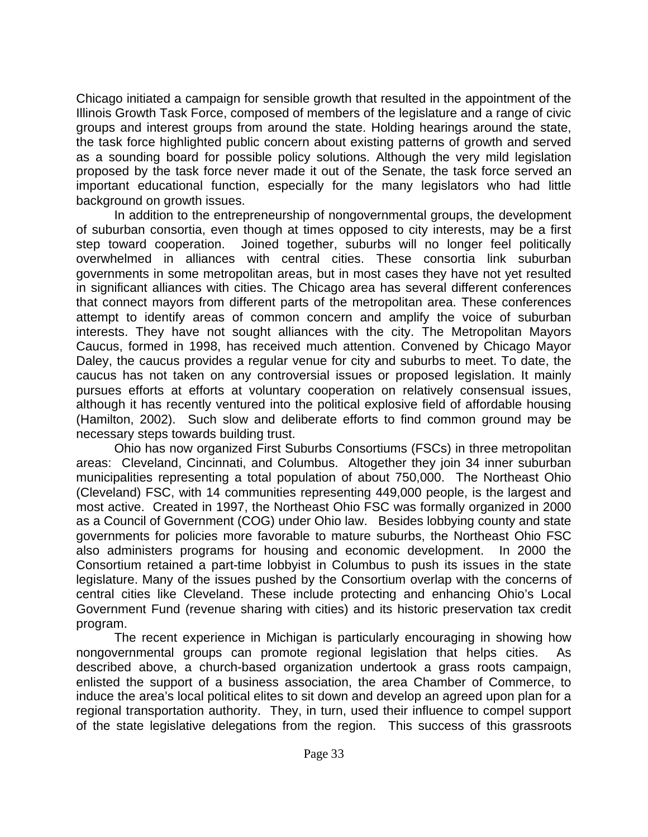Chicago initiated a campaign for sensible growth that resulted in the appointment of the Illinois Growth Task Force, composed of members of the legislature and a range of civic groups and interest groups from around the state. Holding hearings around the state, the task force highlighted public concern about existing patterns of growth and served as a sounding board for possible policy solutions. Although the very mild legislation proposed by the task force never made it out of the Senate, the task force served an important educational function, especially for the many legislators who had little background on growth issues.

In addition to the entrepreneurship of nongovernmental groups, the development of suburban consortia, even though at times opposed to city interests, may be a first step toward cooperation. Joined together, suburbs will no longer feel politically overwhelmed in alliances with central cities. These consortia link suburban governments in some metropolitan areas, but in most cases they have not yet resulted in significant alliances with cities. The Chicago area has several different conferences that connect mayors from different parts of the metropolitan area. These conferences attempt to identify areas of common concern and amplify the voice of suburban interests. They have not sought alliances with the city. The Metropolitan Mayors Caucus, formed in 1998, has received much attention. Convened by Chicago Mayor Daley, the caucus provides a regular venue for city and suburbs to meet. To date, the caucus has not taken on any controversial issues or proposed legislation. It mainly pursues efforts at efforts at voluntary cooperation on relatively consensual issues, although it has recently ventured into the political explosive field of affordable housing (Hamilton, 2002). Such slow and deliberate efforts to find common ground may be necessary steps towards building trust.

Ohio has now organized First Suburbs Consortiums (FSCs) in three metropolitan areas: Cleveland, Cincinnati, and Columbus. Altogether they join 34 inner suburban municipalities representing a total population of about 750,000. The Northeast Ohio (Cleveland) FSC, with 14 communities representing 449,000 people, is the largest and most active. Created in 1997, the Northeast Ohio FSC was formally organized in 2000 as a Council of Government (COG) under Ohio law. Besides lobbying county and state governments for policies more favorable to mature suburbs, the Northeast Ohio FSC also administers programs for housing and economic development. In 2000 the Consortium retained a part-time lobbyist in Columbus to push its issues in the state legislature. Many of the issues pushed by the Consortium overlap with the concerns of central cities like Cleveland. These include protecting and enhancing Ohio's Local Government Fund (revenue sharing with cities) and its historic preservation tax credit program.

The recent experience in Michigan is particularly encouraging in showing how nongovernmental groups can promote regional legislation that helps cities. As described above, a church-based organization undertook a grass roots campaign, enlisted the support of a business association, the area Chamber of Commerce, to induce the area's local political elites to sit down and develop an agreed upon plan for a regional transportation authority. They, in turn, used their influence to compel support of the state legislative delegations from the region. This success of this grassroots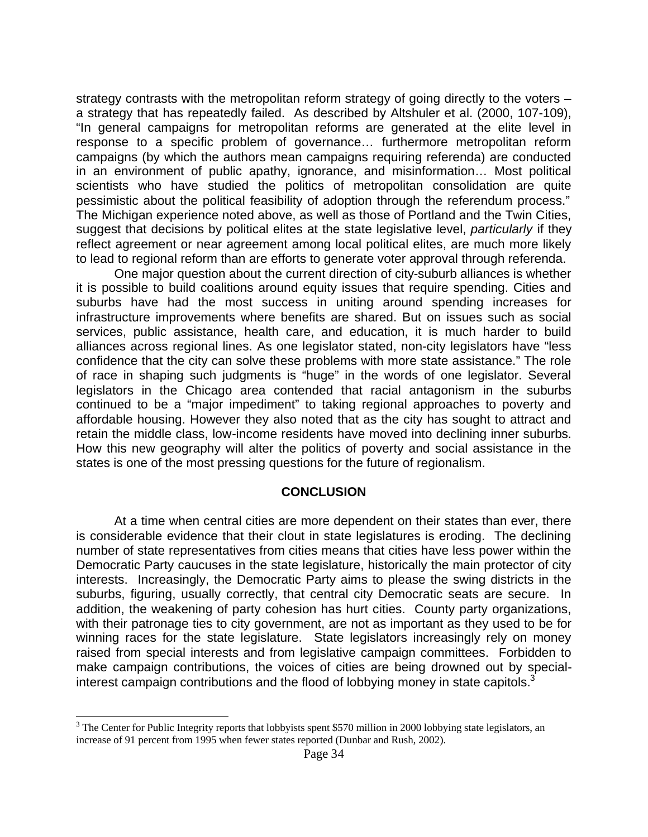strategy contrasts with the metropolitan reform strategy of going directly to the voters – a strategy that has repeatedly failed. As described by Altshuler et al. (2000, 107-109), "In general campaigns for metropolitan reforms are generated at the elite level in response to a specific problem of governance… furthermore metropolitan reform campaigns (by which the authors mean campaigns requiring referenda) are conducted in an environment of public apathy, ignorance, and misinformation… Most political scientists who have studied the politics of metropolitan consolidation are quite pessimistic about the political feasibility of adoption through the referendum process." The Michigan experience noted above, as well as those of Portland and the Twin Cities, suggest that decisions by political elites at the state legislative level, *particularly* if they reflect agreement or near agreement among local political elites, are much more likely to lead to regional reform than are efforts to generate voter approval through referenda.

One major question about the current direction of city-suburb alliances is whether it is possible to build coalitions around equity issues that require spending. Cities and suburbs have had the most success in uniting around spending increases for infrastructure improvements where benefits are shared. But on issues such as social services, public assistance, health care, and education, it is much harder to build alliances across regional lines. As one legislator stated, non-city legislators have "less confidence that the city can solve these problems with more state assistance." The role of race in shaping such judgments is "huge" in the words of one legislator. Several legislators in the Chicago area contended that racial antagonism in the suburbs continued to be a "major impediment" to taking regional approaches to poverty and affordable housing. However they also noted that as the city has sought to attract and retain the middle class, low-income residents have moved into declining inner suburbs. How this new geography will alter the politics of poverty and social assistance in the states is one of the most pressing questions for the future of regionalism.

#### **CONCLUSION**

At a time when central cities are more dependent on their states than ever, there is considerable evidence that their clout in state legislatures is eroding. The declining number of state representatives from cities means that cities have less power within the Democratic Party caucuses in the state legislature, historically the main protector of city interests. Increasingly, the Democratic Party aims to please the swing districts in the suburbs, figuring, usually correctly, that central city Democratic seats are secure. In addition, the weakening of party cohesion has hurt cities. County party organizations, with their patronage ties to city government, are not as important as they used to be for winning races for the state legislature. State legislators increasingly rely on money raised from special interests and from legislative campaign committees. Forbidden to make campaign contributions, the voices of cities are being drowned out by specialinterest campaign contributions and the flood of lobbying money in state capitols. $3$ 

 $\overline{a}$ 

 $3$  The Center for Public Integrity reports that lobbyists spent \$570 million in 2000 lobbying state legislators, an increase of 91 percent from 1995 when fewer states reported (Dunbar and Rush, 2002).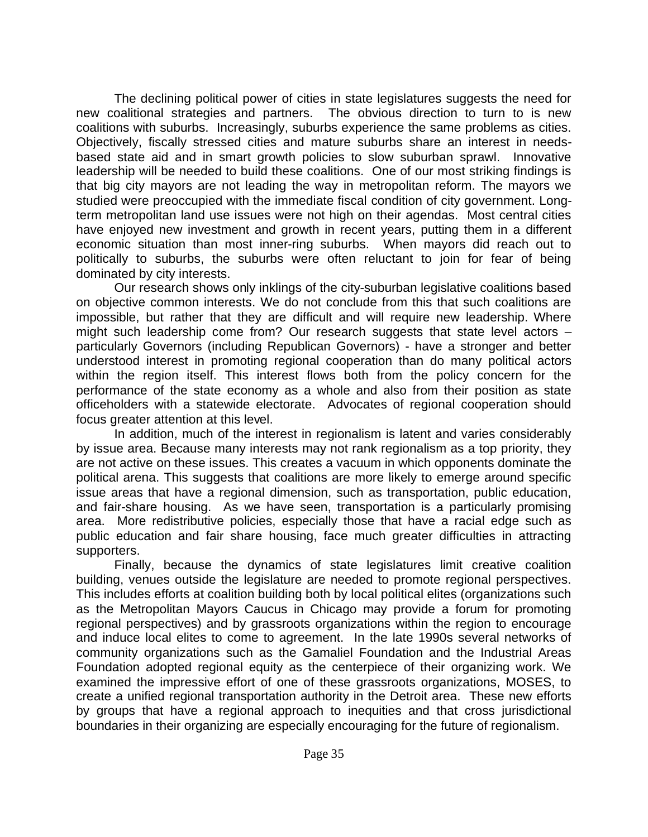The declining political power of cities in state legislatures suggests the need for new coalitional strategies and partners. The obvious direction to turn to is new coalitions with suburbs. Increasingly, suburbs experience the same problems as cities. Objectively, fiscally stressed cities and mature suburbs share an interest in needsbased state aid and in smart growth policies to slow suburban sprawl. Innovative leadership will be needed to build these coalitions. One of our most striking findings is that big city mayors are not leading the way in metropolitan reform. The mayors we studied were preoccupied with the immediate fiscal condition of city government. Longterm metropolitan land use issues were not high on their agendas. Most central cities have enjoyed new investment and growth in recent years, putting them in a different economic situation than most inner-ring suburbs. When mayors did reach out to politically to suburbs, the suburbs were often reluctant to join for fear of being dominated by city interests.

Our research shows only inklings of the city-suburban legislative coalitions based on objective common interests. We do not conclude from this that such coalitions are impossible, but rather that they are difficult and will require new leadership. Where might such leadership come from? Our research suggests that state level actors – particularly Governors (including Republican Governors) - have a stronger and better understood interest in promoting regional cooperation than do many political actors within the region itself. This interest flows both from the policy concern for the performance of the state economy as a whole and also from their position as state officeholders with a statewide electorate. Advocates of regional cooperation should focus greater attention at this level.

In addition, much of the interest in regionalism is latent and varies considerably by issue area. Because many interests may not rank regionalism as a top priority, they are not active on these issues. This creates a vacuum in which opponents dominate the political arena. This suggests that coalitions are more likely to emerge around specific issue areas that have a regional dimension, such as transportation, public education, and fair-share housing. As we have seen, transportation is a particularly promising area. More redistributive policies, especially those that have a racial edge such as public education and fair share housing, face much greater difficulties in attracting supporters.

Finally, because the dynamics of state legislatures limit creative coalition building, venues outside the legislature are needed to promote regional perspectives. This includes efforts at coalition building both by local political elites (organizations such as the Metropolitan Mayors Caucus in Chicago may provide a forum for promoting regional perspectives) and by grassroots organizations within the region to encourage and induce local elites to come to agreement. In the late 1990s several networks of community organizations such as the Gamaliel Foundation and the Industrial Areas Foundation adopted regional equity as the centerpiece of their organizing work. We examined the impressive effort of one of these grassroots organizations, MOSES, to create a unified regional transportation authority in the Detroit area. These new efforts by groups that have a regional approach to inequities and that cross jurisdictional boundaries in their organizing are especially encouraging for the future of regionalism.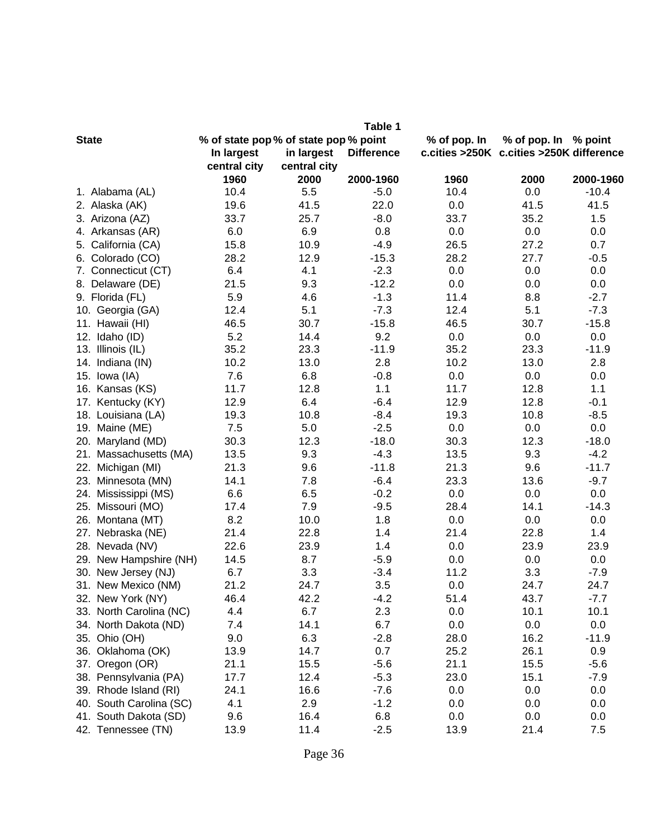|                           |                                     |              | Table 1           |                                          |                      |           |
|---------------------------|-------------------------------------|--------------|-------------------|------------------------------------------|----------------------|-----------|
| <b>State</b>              | % of state pop% of state pop% point |              |                   | % of pop. In                             | % of pop. In % point |           |
|                           | In largest                          | in largest   | <b>Difference</b> | c.cities >250K c.cities >250K difference |                      |           |
|                           | central city                        | central city |                   |                                          |                      |           |
|                           | 1960                                | 2000         | 2000-1960         | 1960                                     | 2000                 | 2000-1960 |
| 1. Alabama (AL)           | 10.4                                | 5.5          | $-5.0$            | 10.4                                     | 0.0                  | $-10.4$   |
| 2. Alaska (AK)            | 19.6                                | 41.5         | 22.0              | 0.0                                      | 41.5                 | 41.5      |
| 3. Arizona (AZ)           | 33.7                                | 25.7         | $-8.0$            | 33.7                                     | 35.2                 | 1.5       |
| 4. Arkansas (AR)          | 6.0                                 | 6.9          | 0.8               | 0.0                                      | 0.0                  | 0.0       |
| 5. California (CA)        | 15.8                                | 10.9         | $-4.9$            | 26.5                                     | 27.2                 | 0.7       |
| 6. Colorado (CO)          | 28.2                                | 12.9         | $-15.3$           | 28.2                                     | 27.7                 | $-0.5$    |
| 7. Connecticut (CT)       | 6.4                                 | 4.1          | $-2.3$            | 0.0                                      | 0.0                  | 0.0       |
| 8. Delaware (DE)          | 21.5                                | 9.3          | $-12.2$           | 0.0                                      | 0.0                  | 0.0       |
| 9. Florida (FL)           | 5.9                                 | 4.6          | $-1.3$            | 11.4                                     | 8.8                  | $-2.7$    |
| 10. Georgia (GA)          | 12.4                                | 5.1          | $-7.3$            | 12.4                                     | 5.1                  | $-7.3$    |
| Hawaii (HI)<br>11.        | 46.5                                | 30.7         | $-15.8$           | 46.5                                     | 30.7                 | $-15.8$   |
| 12. Idaho (ID)            | 5.2                                 | 14.4         | 9.2               | 0.0                                      | 0.0                  | 0.0       |
| 13. Illinois (IL)         | 35.2                                | 23.3         | $-11.9$           | 35.2                                     | 23.3                 | $-11.9$   |
| 14. Indiana (IN)          | 10.2                                | 13.0         | 2.8               | 10.2                                     | 13.0                 | 2.8       |
| 15. Iowa (IA)             | 7.6                                 | 6.8          | $-0.8$            | 0.0                                      | 0.0                  | 0.0       |
| 16. Kansas (KS)           | 11.7                                | 12.8         | 1.1               | 11.7                                     | 12.8                 | 1.1       |
| 17. Kentucky (KY)         | 12.9                                | 6.4          | $-6.4$            | 12.9                                     | 12.8                 | $-0.1$    |
| Louisiana (LA)<br>18.     | 19.3                                | 10.8         | $-8.4$            | 19.3                                     | 10.8                 | $-8.5$    |
| 19. Maine (ME)            | 7.5                                 | 5.0          | $-2.5$            | 0.0                                      | 0.0                  | 0.0       |
| Maryland (MD)<br>20.      | 30.3                                | 12.3         | $-18.0$           | 30.3                                     | 12.3                 | $-18.0$   |
| Massachusetts (MA)<br>21. | 13.5                                | 9.3          | $-4.3$            | 13.5                                     | 9.3                  | $-4.2$    |
| 22.<br>Michigan (MI)      | 21.3                                | 9.6          | $-11.8$           | 21.3                                     | 9.6                  | $-11.7$   |
| Minnesota (MN)<br>23.     | 14.1                                | 7.8          | $-6.4$            | 23.3                                     | 13.6                 | $-9.7$    |
| 24. Mississippi (MS)      | 6.6                                 | 6.5          | $-0.2$            | 0.0                                      | 0.0                  | 0.0       |
| 25.<br>Missouri (MO)      | 17.4                                | 7.9          | $-9.5$            | 28.4                                     | 14.1                 | $-14.3$   |
| 26.<br>Montana (MT)       | 8.2                                 | 10.0         | 1.8               | 0.0                                      | 0.0                  | 0.0       |
| Nebraska (NE)<br>27.      | 21.4                                | 22.8         | 1.4               | 21.4                                     | 22.8                 | 1.4       |
| 28. Nevada (NV)           | 22.6                                | 23.9         | 1.4               | 0.0                                      | 23.9                 | 23.9      |
| New Hampshire (NH)<br>29. | 14.5                                | 8.7          | $-5.9$            | 0.0                                      | 0.0                  | 0.0       |
| 30. New Jersey (NJ)       | 6.7                                 | 3.3          | $-3.4$            | 11.2                                     | 3.3                  | $-7.9$    |
| 31. New Mexico (NM)       | 21.2                                | 24.7         | 3.5               | 0.0                                      | 24.7                 | 24.7      |
| 32. New York (NY)         | 46.4                                | 42.2         | $-4.2$            | 51.4                                     | 43.7                 | $-7.7$    |
| 33. North Carolina (NC)   | 4.4                                 | 6.7          | 2.3               | 0.0                                      | 10.1                 | 10.1      |
| 34. North Dakota (ND)     | 7.4                                 | 14.1         | 6.7               | 0.0                                      | 0.0                  | 0.0       |
| 35. Ohio (OH)             | 9.0                                 | 6.3          | $-2.8$            | 28.0                                     | 16.2                 | $-11.9$   |
| 36. Oklahoma (OK)         | 13.9                                | 14.7         | 0.7               | 25.2                                     | 26.1                 | 0.9       |
| 37. Oregon (OR)           | 21.1                                | 15.5         | $-5.6$            | 21.1                                     | 15.5                 | $-5.6$    |
| 38. Pennsylvania (PA)     | 17.7                                | 12.4         | $-5.3$            | 23.0                                     | 15.1                 | $-7.9$    |
| 39. Rhode Island (RI)     | 24.1                                | 16.6         | $-7.6$            | 0.0                                      | 0.0                  | 0.0       |
| 40. South Carolina (SC)   | 4.1                                 | 2.9          | $-1.2$            | 0.0                                      | 0.0                  | 0.0       |
| 41. South Dakota (SD)     | 9.6                                 | 16.4         | 6.8               | 0.0                                      | 0.0                  | 0.0       |
| 42. Tennessee (TN)        | 13.9                                | 11.4         | $-2.5$            | 13.9                                     | 21.4                 | 7.5       |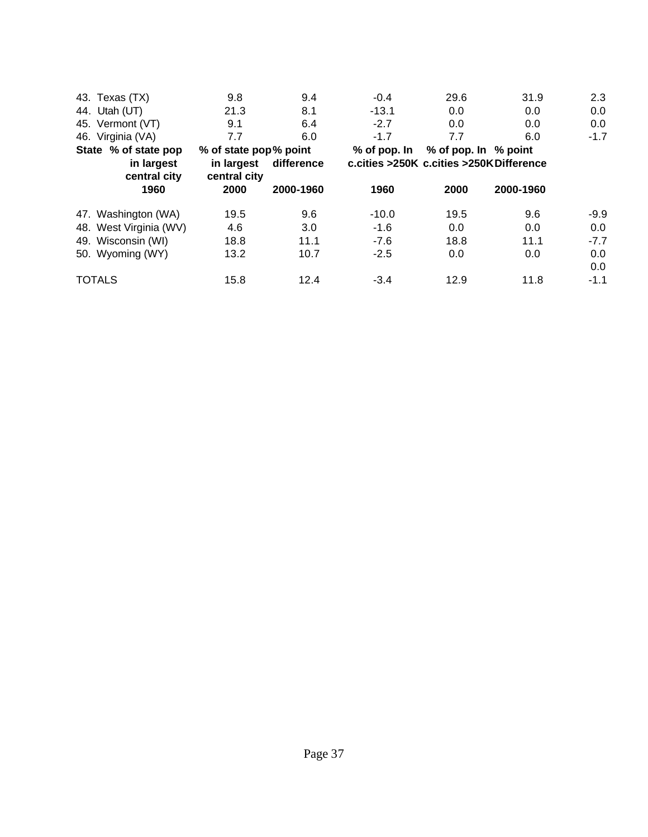| 43. Texas (TX)             | 9.8                                                                                  | 9.4       | $-0.4$       | 29.6                 | 31.9      | 2.3    |
|----------------------------|--------------------------------------------------------------------------------------|-----------|--------------|----------------------|-----------|--------|
| 44. Utah (UT)              | 21.3                                                                                 | 8.1       | $-13.1$      | 0.0                  | 0.0       | 0.0    |
| 45. Vermont (VT)           | 9.1                                                                                  | 6.4       | $-2.7$       | 0.0                  | 0.0       | 0.0    |
| 46. Virginia (VA)          | 7.7                                                                                  | 6.0       | $-1.7$       | 7.7                  | 6.0       | $-1.7$ |
| State % of state pop       | % of state pop% point                                                                |           | % of pop. In | % of pop. In % point |           |        |
| in largest<br>central city | c.cities >250K c.cities >250K Difference<br>difference<br>in largest<br>central city |           |              |                      |           |        |
| 1960                       | 2000                                                                                 | 2000-1960 | 1960         | 2000                 | 2000-1960 |        |
| 47. Washington (WA)        | 19.5                                                                                 | 9.6       | $-10.0$      | 19.5                 | 9.6       | $-9.9$ |
| 48. West Virginia (WV)     | 4.6                                                                                  | 3.0       | $-1.6$       | 0.0                  | 0.0       | 0.0    |
| 49. Wisconsin (WI)         | 18.8                                                                                 | 11.1      | $-7.6$       | 18.8                 | 11.1      | $-7.7$ |
| 50. Wyoming (WY)           | 13.2                                                                                 | 10.7      | $-2.5$       | 0.0                  | 0.0       | 0.0    |
|                            |                                                                                      |           |              |                      |           | 0.0    |
| <b>TOTALS</b>              | 15.8                                                                                 | 12.4      | $-3.4$       | 12.9                 | 11.8      | $-1.1$ |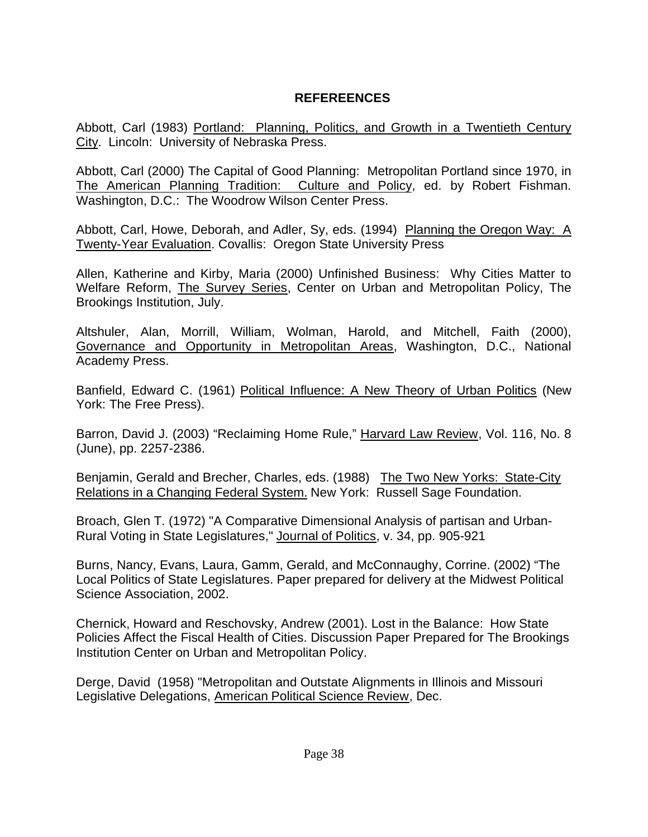## **REFEREENCES**

Abbott, Carl (1983) Portland: Planning, Politics, and Growth in a Twentieth Century City. Lincoln: University of Nebraska Press.

Abbott, Carl (2000) The Capital of Good Planning: Metropolitan Portland since 1970, in The American Planning Tradition: Culture and Policy, ed. by Robert Fishman. Washington, D.C.: The Woodrow Wilson Center Press.

Abbott, Carl, Howe, Deborah, and Adler, Sy, eds. (1994) Planning the Oregon Way: A Twenty-Year Evaluation. Covallis: Oregon State University Press

Allen, Katherine and Kirby, Maria (2000) Unfinished Business: Why Cities Matter to Welfare Reform, The Survey Series, Center on Urban and Metropolitan Policy, The Brookings Institution, July.

Altshuler, Alan, Morrill, William, Wolman, Harold, and Mitchell, Faith (2000), Governance and Opportunity in Metropolitan Areas, Washington, D.C., National Academy Press.

Banfield, Edward C. (1961) Political Influence: A New Theory of Urban Politics (New York: The Free Press).

Barron, David J. (2003) "Reclaiming Home Rule," Harvard Law Review, Vol. 116, No. 8 (June), pp. 2257-2386.

Benjamin, Gerald and Brecher, Charles, eds. (1988) The Two New Yorks: State-City Relations in a Changing Federal System. New York: Russell Sage Foundation.

Broach, Glen T. (1972) "A Comparative Dimensional Analysis of partisan and Urban-Rural Voting in State Legislatures," Journal of Politics, v. 34, pp. 905-921

Burns, Nancy, Evans, Laura, Gamm, Gerald, and McConnaughy, Corrine. (2002) "The Local Politics of State Legislatures. Paper prepared for delivery at the Midwest Political Science Association, 2002.

Chernick, Howard and Reschovsky, Andrew (2001). Lost in the Balance: How State Policies Affect the Fiscal Health of Cities. Discussion Paper Prepared for The Brookings Institution Center on Urban and Metropolitan Policy.

Derge, David (1958) "Metropolitan and Outstate Alignments in Illinois and Missouri Legislative Delegations, American Political Science Review, Dec.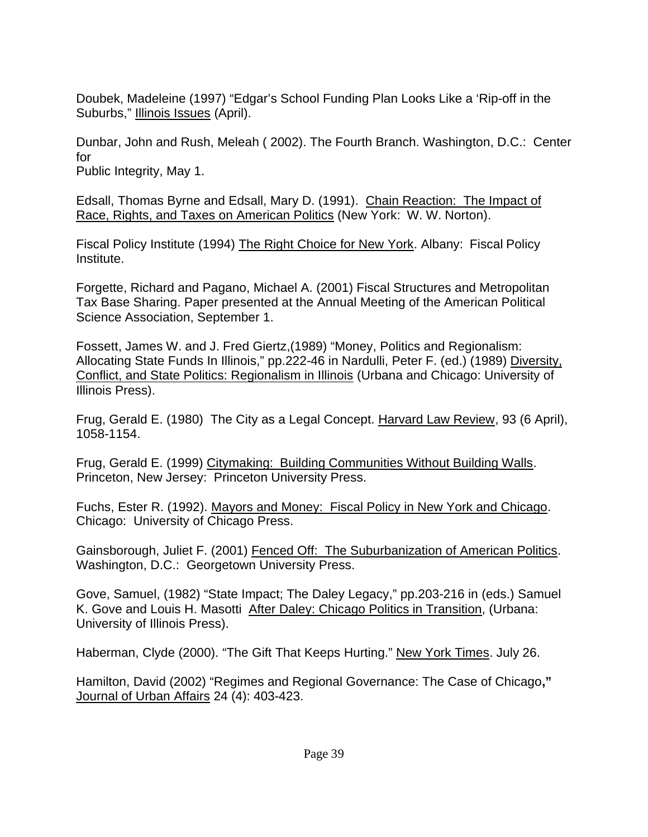Doubek, Madeleine (1997) "Edgar's School Funding Plan Looks Like a 'Rip-off in the Suburbs," Illinois Issues (April).

Dunbar, John and Rush, Meleah ( 2002). The Fourth Branch. Washington, D.C.: Center for Public Integrity, May 1.

Edsall, Thomas Byrne and Edsall, Mary D. (1991). Chain Reaction: The Impact of Race, Rights, and Taxes on American Politics (New York: W. W. Norton).

Fiscal Policy Institute (1994) The Right Choice for New York. Albany: Fiscal Policy Institute.

Forgette, Richard and Pagano, Michael A. (2001) Fiscal Structures and Metropolitan Tax Base Sharing. Paper presented at the Annual Meeting of the American Political Science Association, September 1.

Fossett, James W. and J. Fred Giertz,(1989) "Money, Politics and Regionalism: Allocating State Funds In Illinois," pp.222-46 in Nardulli, Peter F. (ed.) (1989) Diversity, Conflict, and State Politics: Regionalism in Illinois (Urbana and Chicago: University of Illinois Press).

Frug, Gerald E. (1980) The City as a Legal Concept. Harvard Law Review, 93 (6 April), 1058-1154.

Frug, Gerald E. (1999) Citymaking: Building Communities Without Building Walls. Princeton, New Jersey: Princeton University Press.

Fuchs, Ester R. (1992). Mayors and Money: Fiscal Policy in New York and Chicago. Chicago: University of Chicago Press.

Gainsborough, Juliet F. (2001) Fenced Off: The Suburbanization of American Politics. Washington, D.C.: Georgetown University Press.

Gove, Samuel, (1982) "State Impact; The Daley Legacy," pp.203-216 in (eds.) Samuel K. Gove and Louis H. Masotti After Daley: Chicago Politics in Transition, (Urbana: University of Illinois Press).

Haberman, Clyde (2000). "The Gift That Keeps Hurting." New York Times. July 26.

Hamilton, David (2002) "Regimes and Regional Governance: The Case of Chicago**,"**  Journal of Urban Affairs 24 (4): 403-423.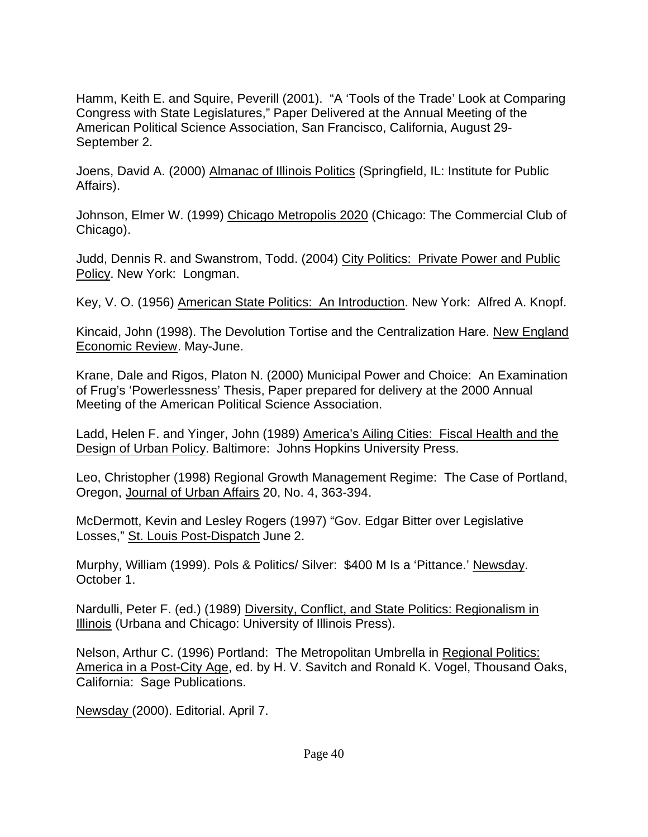Hamm, Keith E. and Squire, Peverill (2001). "A 'Tools of the Trade' Look at Comparing Congress with State Legislatures," Paper Delivered at the Annual Meeting of the American Political Science Association, San Francisco, California, August 29- September 2.

Joens, David A. (2000) Almanac of Illinois Politics (Springfield, IL: Institute for Public Affairs).

Johnson, Elmer W. (1999) Chicago Metropolis 2020 (Chicago: The Commercial Club of Chicago).

Judd, Dennis R. and Swanstrom, Todd. (2004) City Politics: Private Power and Public Policy. New York: Longman.

Key, V. O. (1956) American State Politics: An Introduction. New York: Alfred A. Knopf.

Kincaid, John (1998). The Devolution Tortise and the Centralization Hare. New England Economic Review. May-June.

Krane, Dale and Rigos, Platon N. (2000) Municipal Power and Choice: An Examination of Frug's 'Powerlessness' Thesis, Paper prepared for delivery at the 2000 Annual Meeting of the American Political Science Association.

Ladd, Helen F. and Yinger, John (1989) America's Ailing Cities: Fiscal Health and the Design of Urban Policy. Baltimore: Johns Hopkins University Press.

Leo, Christopher (1998) Regional Growth Management Regime: The Case of Portland, Oregon, Journal of Urban Affairs 20, No. 4, 363-394.

McDermott, Kevin and Lesley Rogers (1997) "Gov. Edgar Bitter over Legislative Losses," St. Louis Post-Dispatch June 2.

Murphy, William (1999). Pols & Politics/ Silver: \$400 M Is a 'Pittance.' Newsday. October 1.

Nardulli, Peter F. (ed.) (1989) Diversity, Conflict, and State Politics: Regionalism in Illinois (Urbana and Chicago: University of Illinois Press).

Nelson, Arthur C. (1996) Portland: The Metropolitan Umbrella in Regional Politics: America in a Post-City Age, ed. by H. V. Savitch and Ronald K. Vogel, Thousand Oaks, California: Sage Publications.

Newsday (2000). Editorial. April 7.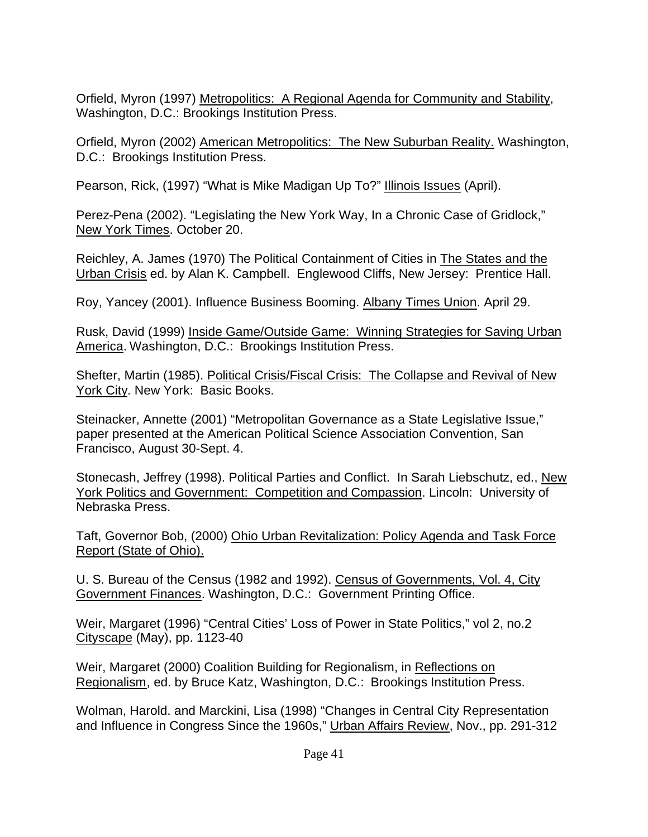Orfield, Myron (1997) Metropolitics: A Regional Agenda for Community and Stability, Washington, D.C.: Brookings Institution Press.

Orfield, Myron (2002) American Metropolitics: The New Suburban Reality. Washington, D.C.: Brookings Institution Press.

Pearson, Rick, (1997) "What is Mike Madigan Up To?" Illinois Issues (April).

Perez-Pena (2002). "Legislating the New York Way, In a Chronic Case of Gridlock," New York Times. October 20.

Reichley, A. James (1970) The Political Containment of Cities in The States and the Urban Crisis ed. by Alan K. Campbell. Englewood Cliffs, New Jersey: Prentice Hall.

Roy, Yancey (2001). Influence Business Booming. Albany Times Union. April 29.

Rusk, David (1999) Inside Game/Outside Game: Winning Strategies for Saving Urban America. Washington, D.C.: Brookings Institution Press.

Shefter, Martin (1985). Political Crisis/Fiscal Crisis: The Collapse and Revival of New York City. New York: Basic Books.

Steinacker, Annette (2001) "Metropolitan Governance as a State Legislative Issue," paper presented at the American Political Science Association Convention, San Francisco, August 30-Sept. 4.

Stonecash, Jeffrey (1998). Political Parties and Conflict. In Sarah Liebschutz, ed., New York Politics and Government: Competition and Compassion. Lincoln: University of Nebraska Press.

Taft, Governor Bob, (2000) Ohio Urban Revitalization: Policy Agenda and Task Force Report (State of Ohio).

U. S. Bureau of the Census (1982 and 1992). Census of Governments, Vol. 4, City Government Finances. Washington, D.C.: Government Printing Office.

Weir, Margaret (1996) "Central Cities' Loss of Power in State Politics," vol 2, no.2 Cityscape (May), pp. 1123-40

Weir, Margaret (2000) Coalition Building for Regionalism, in Reflections on Regionalism, ed. by Bruce Katz, Washington, D.C.: Brookings Institution Press.

Wolman, Harold. and Marckini, Lisa (1998) "Changes in Central City Representation and Influence in Congress Since the 1960s," Urban Affairs Review, Nov., pp. 291-312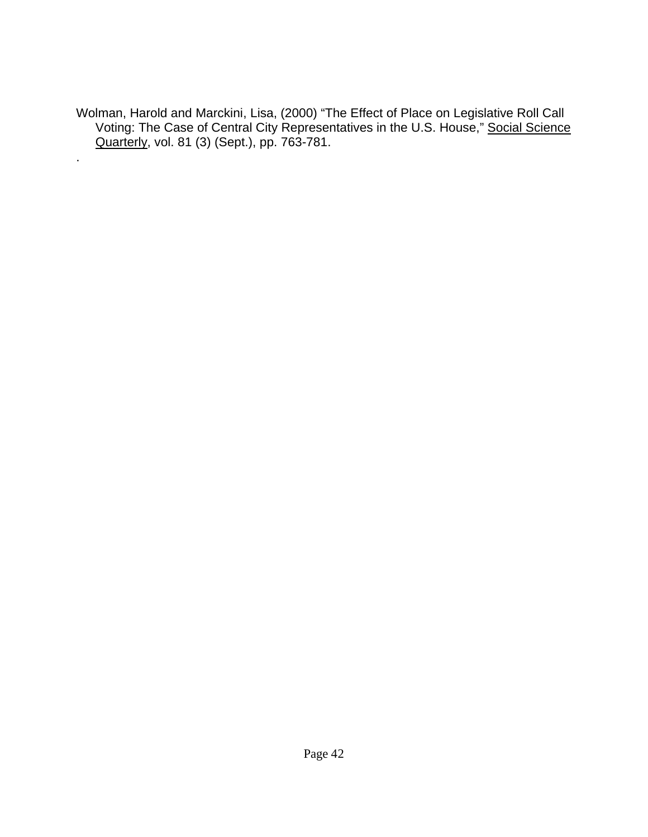Wolman, Harold and Marckini, Lisa, (2000) "The Effect of Place on Legislative Roll Call Voting: The Case of Central City Representatives in the U.S. House," Social Science Quarterly, vol. 81 (3) (Sept.), pp. 763-781.

.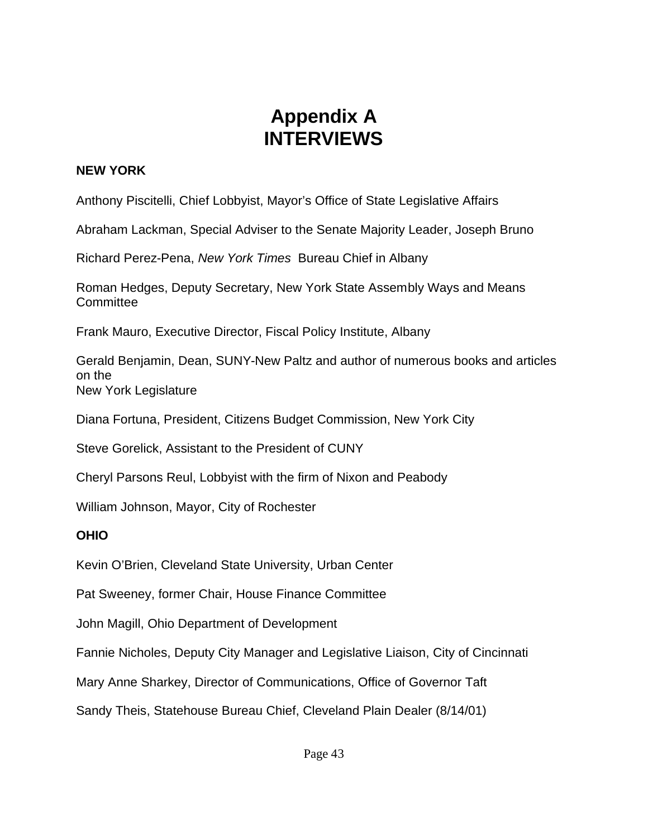# **Appendix A INTERVIEWS**

### **NEW YORK**

Anthony Piscitelli, Chief Lobbyist, Mayor's Office of State Legislative Affairs

Abraham Lackman, Special Adviser to the Senate Majority Leader, Joseph Bruno

Richard Perez-Pena, *New York Times* Bureau Chief in Albany

Roman Hedges, Deputy Secretary, New York State Assembly Ways and Means **Committee** 

Frank Mauro, Executive Director, Fiscal Policy Institute, Albany

Gerald Benjamin, Dean, SUNY-New Paltz and author of numerous books and articles on the New York Legislature

Diana Fortuna, President, Citizens Budget Commission, New York City

Steve Gorelick, Assistant to the President of CUNY

Cheryl Parsons Reul, Lobbyist with the firm of Nixon and Peabody

William Johnson, Mayor, City of Rochester

#### **OHIO**

Kevin O'Brien, Cleveland State University, Urban Center

Pat Sweeney, former Chair, House Finance Committee

John Magill, Ohio Department of Development

Fannie Nicholes, Deputy City Manager and Legislative Liaison, City of Cincinnati

Mary Anne Sharkey, Director of Communications, Office of Governor Taft

Sandy Theis, Statehouse Bureau Chief, Cleveland Plain Dealer (8/14/01)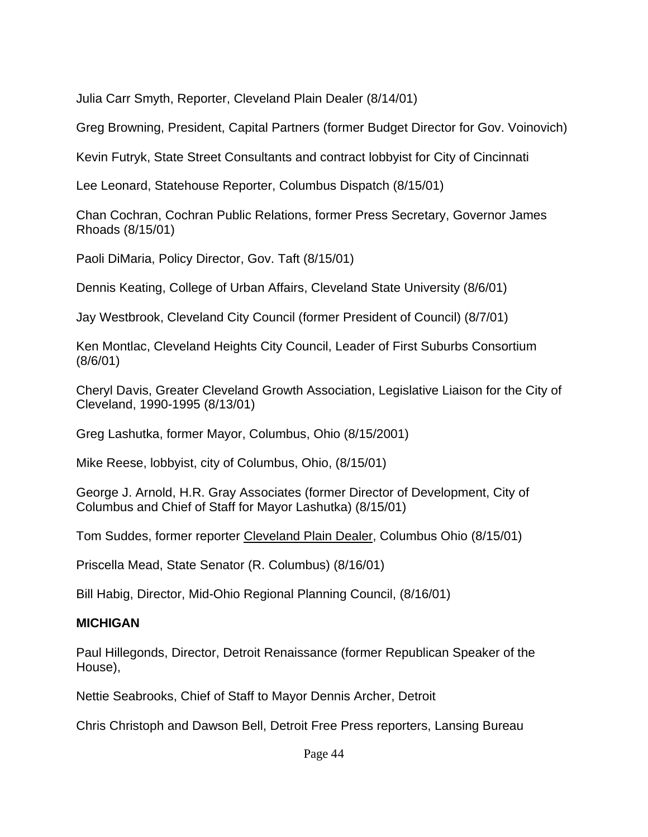Julia Carr Smyth, Reporter, Cleveland Plain Dealer (8/14/01)

Greg Browning, President, Capital Partners (former Budget Director for Gov. Voinovich)

Kevin Futryk, State Street Consultants and contract lobbyist for City of Cincinnati

Lee Leonard, Statehouse Reporter, Columbus Dispatch (8/15/01)

Chan Cochran, Cochran Public Relations, former Press Secretary, Governor James Rhoads (8/15/01)

Paoli DiMaria, Policy Director, Gov. Taft (8/15/01)

Dennis Keating, College of Urban Affairs, Cleveland State University (8/6/01)

Jay Westbrook, Cleveland City Council (former President of Council) (8/7/01)

Ken Montlac, Cleveland Heights City Council, Leader of First Suburbs Consortium (8/6/01)

Cheryl Davis, Greater Cleveland Growth Association, Legislative Liaison for the City of Cleveland, 1990-1995 (8/13/01)

Greg Lashutka, former Mayor, Columbus, Ohio (8/15/2001)

Mike Reese, lobbyist, city of Columbus, Ohio, (8/15/01)

George J. Arnold, H.R. Gray Associates (former Director of Development, City of Columbus and Chief of Staff for Mayor Lashutka) (8/15/01)

Tom Suddes, former reporter Cleveland Plain Dealer, Columbus Ohio (8/15/01)

Priscella Mead, State Senator (R. Columbus) (8/16/01)

Bill Habig, Director, Mid-Ohio Regional Planning Council, (8/16/01)

## **MICHIGAN**

Paul Hillegonds, Director, Detroit Renaissance (former Republican Speaker of the House),

Nettie Seabrooks, Chief of Staff to Mayor Dennis Archer, Detroit

Chris Christoph and Dawson Bell, Detroit Free Press reporters, Lansing Bureau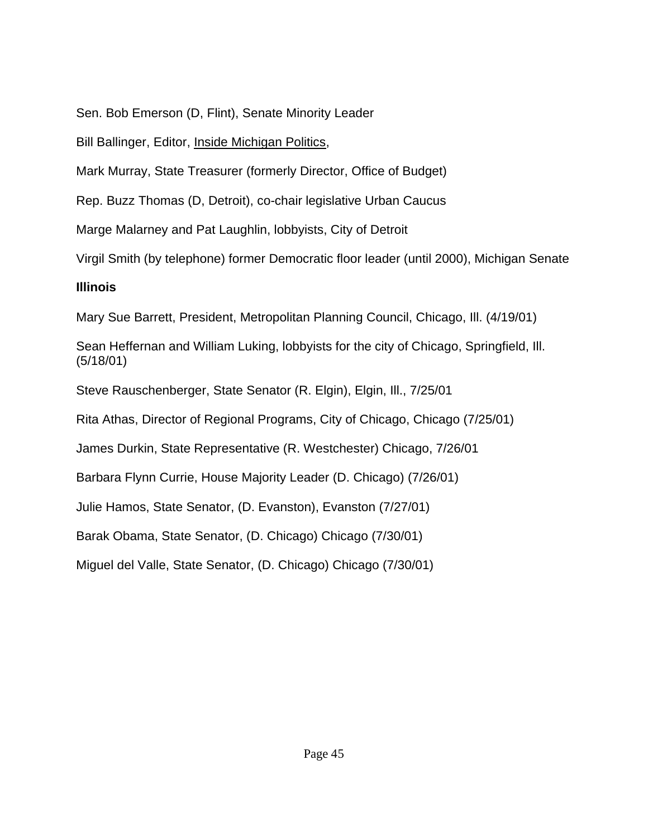Sen. Bob Emerson (D, Flint), Senate Minority Leader

Bill Ballinger, Editor, Inside Michigan Politics,

Mark Murray, State Treasurer (formerly Director, Office of Budget)

Rep. Buzz Thomas (D, Detroit), co-chair legislative Urban Caucus

Marge Malarney and Pat Laughlin, lobbyists, City of Detroit

Virgil Smith (by telephone) former Democratic floor leader (until 2000), Michigan Senate

## **Illinois**

Mary Sue Barrett, President, Metropolitan Planning Council, Chicago, Ill. (4/19/01)

Sean Heffernan and William Luking, lobbyists for the city of Chicago, Springfield, Ill. (5/18/01)

Steve Rauschenberger, State Senator (R. Elgin), Elgin, Ill., 7/25/01

Rita Athas, Director of Regional Programs, City of Chicago, Chicago (7/25/01)

James Durkin, State Representative (R. Westchester) Chicago, 7/26/01

Barbara Flynn Currie, House Majority Leader (D. Chicago) (7/26/01)

Julie Hamos, State Senator, (D. Evanston), Evanston (7/27/01)

Barak Obama, State Senator, (D. Chicago) Chicago (7/30/01)

Miguel del Valle, State Senator, (D. Chicago) Chicago (7/30/01)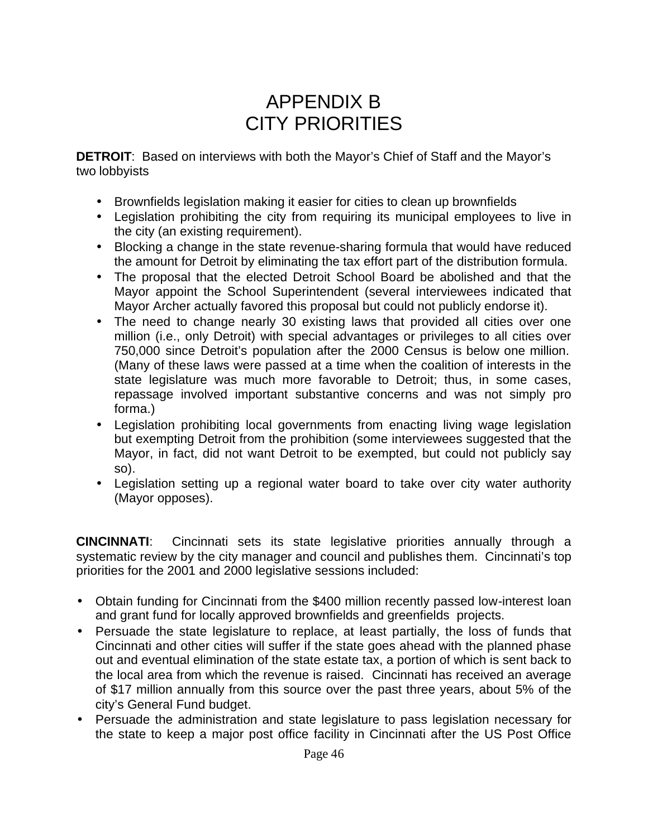# APPENDIX B CITY PRIORITIES

**DETROIT**: Based on interviews with both the Mayor's Chief of Staff and the Mayor's two lobbyists

- Brownfields legislation making it easier for cities to clean up brownfields
- Legislation prohibiting the city from requiring its municipal employees to live in the city (an existing requirement).
- Blocking a change in the state revenue-sharing formula that would have reduced the amount for Detroit by eliminating the tax effort part of the distribution formula.
- The proposal that the elected Detroit School Board be abolished and that the Mayor appoint the School Superintendent (several interviewees indicated that Mayor Archer actually favored this proposal but could not publicly endorse it).
- The need to change nearly 30 existing laws that provided all cities over one million (i.e., only Detroit) with special advantages or privileges to all cities over 750,000 since Detroit's population after the 2000 Census is below one million. (Many of these laws were passed at a time when the coalition of interests in the state legislature was much more favorable to Detroit; thus, in some cases, repassage involved important substantive concerns and was not simply pro forma.)
- Legislation prohibiting local governments from enacting living wage legislation but exempting Detroit from the prohibition (some interviewees suggested that the Mayor, in fact, did not want Detroit to be exempted, but could not publicly say so).
- Legislation setting up a regional water board to take over city water authority (Mayor opposes).

**CINCINNATI**: Cincinnati sets its state legislative priorities annually through a systematic review by the city manager and council and publishes them. Cincinnati's top priorities for the 2001 and 2000 legislative sessions included:

- Obtain funding for Cincinnati from the \$400 million recently passed low-interest loan and grant fund for locally approved brownfields and greenfields projects.
- Persuade the state legislature to replace, at least partially, the loss of funds that Cincinnati and other cities will suffer if the state goes ahead with the planned phase out and eventual elimination of the state estate tax, a portion of which is sent back to the local area from which the revenue is raised. Cincinnati has received an average of \$17 million annually from this source over the past three years, about 5% of the city's General Fund budget.
- Persuade the administration and state legislature to pass legislation necessary for the state to keep a major post office facility in Cincinnati after the US Post Office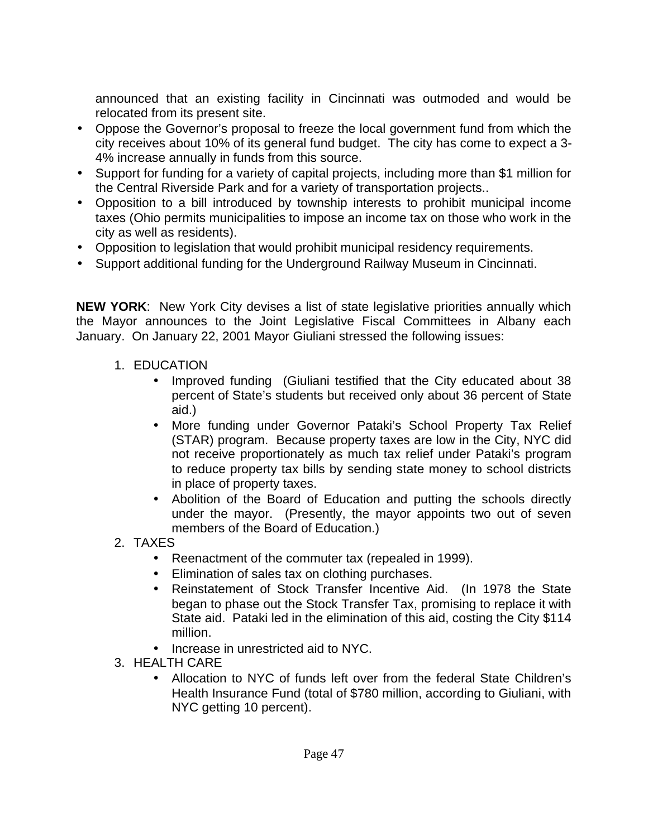announced that an existing facility in Cincinnati was outmoded and would be relocated from its present site.

- Oppose the Governor's proposal to freeze the local government fund from which the city receives about 10% of its general fund budget. The city has come to expect a 3- 4% increase annually in funds from this source.
- Support for funding for a variety of capital projects, including more than \$1 million for the Central Riverside Park and for a variety of transportation projects..
- Opposition to a bill introduced by township interests to prohibit municipal income taxes (Ohio permits municipalities to impose an income tax on those who work in the city as well as residents).
- Opposition to legislation that would prohibit municipal residency requirements.
- Support additional funding for the Underground Railway Museum in Cincinnati.

**NEW YORK**: New York City devises a list of state legislative priorities annually which the Mayor announces to the Joint Legislative Fiscal Committees in Albany each January. On January 22, 2001 Mayor Giuliani stressed the following issues:

- 1. EDUCATION
	- Improved funding (Giuliani testified that the City educated about 38 percent of State's students but received only about 36 percent of State aid.)
	- More funding under Governor Pataki's School Property Tax Relief (STAR) program. Because property taxes are low in the City, NYC did not receive proportionately as much tax relief under Pataki's program to reduce property tax bills by sending state money to school districts in place of property taxes.
	- Abolition of the Board of Education and putting the schools directly under the mayor. (Presently, the mayor appoints two out of seven members of the Board of Education.)
- 2. TAXES
	- Reenactment of the commuter tax (repealed in 1999).
	- Elimination of sales tax on clothing purchases.
	- Reinstatement of Stock Transfer Incentive Aid. (In 1978 the State began to phase out the Stock Transfer Tax, promising to replace it with State aid. Pataki led in the elimination of this aid, costing the City \$114 million.
	- Increase in unrestricted aid to NYC.
- 3. HEALTH CARE
	- Allocation to NYC of funds left over from the federal State Children's Health Insurance Fund (total of \$780 million, according to Giuliani, with NYC getting 10 percent).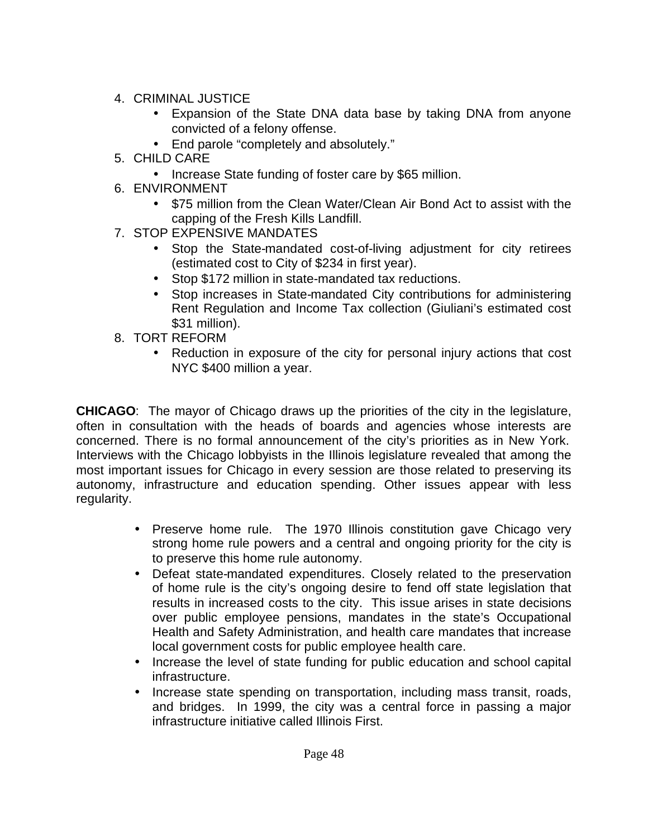- 4. CRIMINAL JUSTICE
	- Expansion of the State DNA data base by taking DNA from anyone convicted of a felony offense.
	- End parole "completely and absolutely."
- 5. CHILD CARE
	- Increase State funding of foster care by \$65 million.
- 6. ENVIRONMENT
	- \$75 million from the Clean Water/Clean Air Bond Act to assist with the capping of the Fresh Kills Landfill.
- 7. STOP EXPENSIVE MANDATES
	- Stop the State-mandated cost-of-living adjustment for city retirees (estimated cost to City of \$234 in first year).
	- Stop \$172 million in state-mandated tax reductions.
	- Stop increases in State-mandated City contributions for administering Rent Regulation and Income Tax collection (Giuliani's estimated cost \$31 million).
- 8. TORT REFORM
	- Reduction in exposure of the city for personal injury actions that cost NYC \$400 million a year.

**CHICAGO**: The mayor of Chicago draws up the priorities of the city in the legislature, often in consultation with the heads of boards and agencies whose interests are concerned. There is no formal announcement of the city's priorities as in New York. Interviews with the Chicago lobbyists in the Illinois legislature revealed that among the most important issues for Chicago in every session are those related to preserving its autonomy, infrastructure and education spending. Other issues appear with less regularity.

- Preserve home rule. The 1970 Illinois constitution gave Chicago very strong home rule powers and a central and ongoing priority for the city is to preserve this home rule autonomy.
- Defeat state-mandated expenditures. Closely related to the preservation of home rule is the city's ongoing desire to fend off state legislation that results in increased costs to the city. This issue arises in state decisions over public employee pensions, mandates in the state's Occupational Health and Safety Administration, and health care mandates that increase local government costs for public employee health care.
- Increase the level of state funding for public education and school capital infrastructure.
- Increase state spending on transportation, including mass transit, roads, and bridges. In 1999, the city was a central force in passing a major infrastructure initiative called Illinois First.